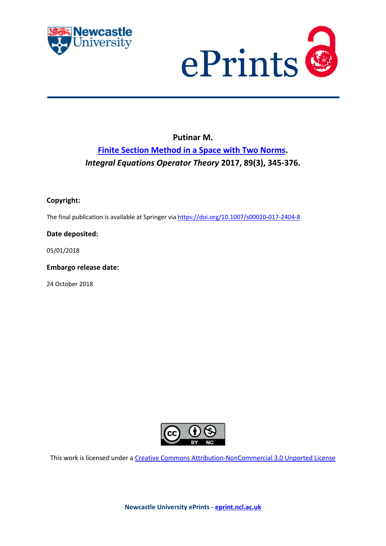



## **Putinar M.**

# **[Finite Section Method in a Space with Two Norms.](https://myimpact.ncl.ac.uk/ViewPublication.aspx?id=241348)**  *Integral Equations Operator Theory* **2017, 89(3), 345-376.**

### **Copyright:**

The final publication is available at Springer via <https://doi.org/10.1007/s00020-017-2404-8>

### **Date deposited:**

05/01/2018

### **Embargo release date:**

24 October 2018



This work is licensed under a [Creative Commons Attribution-NonCommercial 3.0 Unported License](http://creativecommons.org/licenses/by-nc/3.0/deed.en_GB)

**Newcastle University ePrints - [eprint.ncl.ac.uk](http://eprint.ncl.ac.uk/)**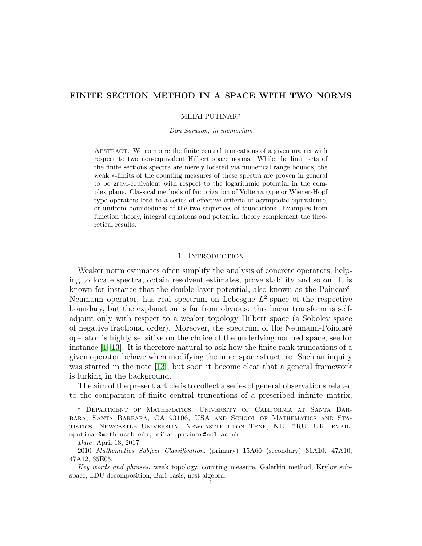### FINITE SECTION METHOD IN A SPACE WITH TWO NORMS

MIHAI PUTINAR<sup>∗</sup>

Don Sarason, in memoriam

ABSTRACT. We compare the finite central truncations of a given matrix with respect to two non-equivalent Hilbert space norms. While the limit sets of the finite sections spectra are merely located via numerical range bounds, the weak ∗-limits of the counting measures of these spectra are proven in general to be gravi-equivalent with respect to the logarithmic potential in the complex plane. Classical methods of factorization of Volterra type or Wiener-Hopf type operators lead to a series of effective criteria of asymptotic equivalence, or uniform boundedness of the two sequences of truncations. Examples from function theory, integral equations and potential theory complement the theoretical results.

#### 1. INTRODUCTION

Weaker norm estimates often simplify the analysis of concrete operators, helping to locate spectra, obtain resolvent estimates, prove stability and so on. It is known for instance that the double layer potential, also known as the Poincaré-Neumann operator, has real spectrum on Lebesgue  $L^2$ -space of the respective boundary, but the explanation is far from obvious: this linear transform is selfadjoint only with respect to a weaker topology Hilbert space (a Sobolev space of negative fractional order). Moreover, the spectrum of the Neumann-Poincar´e operator is highly sensitive on the choice of the underlying normed space, see for instance [\[1,](#page-30-0) [13\]](#page-31-0). It is therefore natural to ask how the finite rank truncations of a given operator behave when modifying the inner space structure. Such an inquiry was started in the note [\[13\]](#page-31-0), but soon it become clear that a general framework is lurking in the background.

The aim of the present article is to collect a series of general observations related to the comparison of finite central truncations of a prescribed infinite matrix,

<sup>∗</sup> Department of Mathematics, University of California at Santa Barbara, Santa Barbara, CA 93106, USA and School of Mathematics and Statistics, Newcastle University, Newcastle upon Tyne, NE1 7RU, UK; email: mputinar@math.ucsb.edu, mihai.putinar@ncl.ac.uk

Date: April 13, 2017.

<sup>2010</sup> Mathematics Subject Classification. (primary) 15A60 (secondary) 31A10, 47A10, 47A12, 65E05.

Key words and phrases. weak topology, counting measure, Galerkin method, Krylov subspace, LDU decomposition, Bari basis, nest algebra.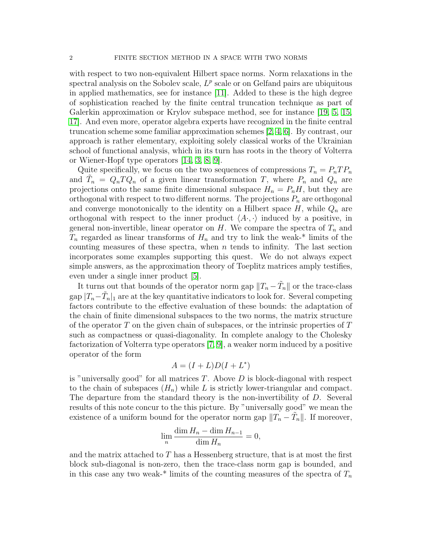with respect to two non-equivalent Hilbert space norms. Norm relaxations in the spectral analysis on the Sobolev scale,  $L^p$  scale or on Gelfand pairs are ubiquitous in applied mathematics, see for instance [\[11\]](#page-31-1). Added to these is the high degree of sophistication reached by the finite central truncation technique as part of Galerkin approximation or Krylov subspace method, see for instance [\[19,](#page-31-2) [5,](#page-30-1) [15,](#page-31-3) [17\]](#page-31-4). And even more, operator algebra experts have recognized in the finite central truncation scheme some familiar approximation schemes [\[2,](#page-30-2) [4,](#page-30-3) [6\]](#page-30-4). By contrast, our approach is rather elementary, exploiting solely classical works of the Ukrainian school of functional analysis, which in its turn has roots in the theory of Volterra or Wiener-Hopf type operators [\[14,](#page-31-5) [3,](#page-30-5) [8,](#page-31-6) [9\]](#page-31-7).

Quite specifically, we focus on the two sequences of compressions  $T_n = P_n T P_n$ and  $\tilde{T}_n = Q_n T Q_n$  of a given linear transformation T, where  $P_n$  and  $Q_n$  are projections onto the same finite dimensional subspace  $H_n = P_n H$ , but they are orthogonal with respect to two different norms. The projections  $P_n$  are orthogonal and converge monotonically to the identity on a Hilbert space  $H$ , while  $Q_n$  are orthogonal with respect to the inner product  $\langle A \cdot, \cdot \rangle$  induced by a positive, in general non-invertible, linear operator on H. We compare the spectra of  $T_n$  and  $T_n$  regarded as linear transforms of  $H_n$  and try to link the weak-\* limits of the counting measures of these spectra, when  $n$  tends to infinity. The last section incorporates some examples supporting this quest. We do not always expect simple answers, as the approximation theory of Toeplitz matrices amply testifies, even under a single inner product [\[5\]](#page-30-1).

It turns out that bounds of the operator norm gap  $||T_n - \tilde{T}_n||$  or the trace-class gap  $|T_n-\tilde{T}_n|_1$  are at the key quantitative indicators to look for. Several competing factors contribute to the effective evaluation of these bounds: the adaptation of the chain of finite dimensional subspaces to the two norms, the matrix structure of the operator  $T$  on the given chain of subspaces, or the intrinsic properties of  $T$ such as compactness or quasi-diagonality. In complete analogy to the Cholesky factorization of Volterra type operators [\[7,](#page-30-6) [9\]](#page-31-7), a weaker norm induced by a positive operator of the form

$$
A = (I + L)D(I + L^*)
$$

is "universally good" for all matrices  $T$ . Above  $D$  is block-diagonal with respect to the chain of subspaces  $(H_n)$  while L is strictly lower-triangular and compact. The departure from the standard theory is the non-invertibility of D. Several results of this note concur to the this picture. By "universally good" we mean the existence of a uniform bound for the operator norm gap  $||T_n - \tilde{T}_n||$ . If moreover,

$$
\lim_{n} \frac{\dim H_n - \dim H_{n-1}}{\dim H_n} = 0,
$$

and the matrix attached to  $T$  has a Hessenberg structure, that is at most the first block sub-diagonal is non-zero, then the trace-class norm gap is bounded, and in this case any two weak-\* limits of the counting measures of the spectra of  $T_n$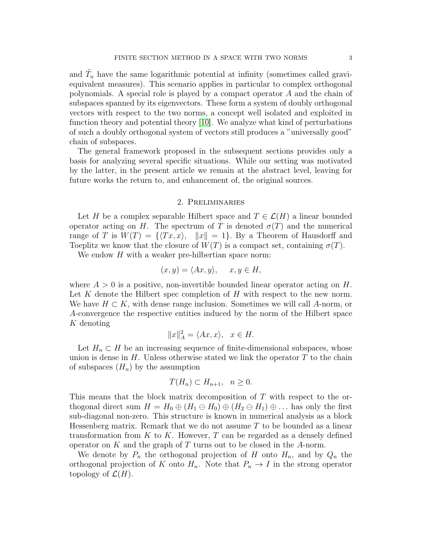and  $\tilde{T}_n$  have the same logarithmic potential at infinity (sometimes called graviequivalent measures). This scenario applies in particular to complex orthogonal polynomials. A special role is played by a compact operator A and the chain of subspaces spanned by its eigenvectors. These form a system of doubly orthogonal vectors with respect to the two norms, a concept well isolated and exploited in function theory and potential theory [\[10\]](#page-31-8). We analyze what kind of perturbations of such a doubly orthogonal system of vectors still produces a "universally good" chain of subspaces.

The general framework proposed in the subsequent sections provides only a basis for analyzing several specific situations. While our setting was motivated by the latter, in the present article we remain at the abstract level, leaving for future works the return to, and enhancement of, the original sources.

#### 2. Preliminaries

Let H be a complex separable Hilbert space and  $T \in \mathcal{L}(H)$  a linear bounded operator acting on H. The spectrum of T is denoted  $\sigma(T)$  and the numerical range of T is  $W(T) = \langle \langle Tx, x \rangle, ||x|| = 1 \rangle$ . By a Theorem of Hausdorff and Toeplitz we know that the closure of  $W(T)$  is a compact set, containing  $\sigma(T)$ .

We endow  $H$  with a weaker pre-hilbertian space norm:

$$
(x, y) = \langle Ax, y \rangle, \quad x, y \in H,
$$

where  $A > 0$  is a positive, non-invertible bounded linear operator acting on H. Let K denote the Hilbert spec completion of  $H$  with respect to the new norm. We have  $H \subset K$ , with dense range inclusion. Sometimes we will call A-norm, or A-convergence the respective entities induced by the norm of the Hilbert space K denoting

$$
||x||_A^2 = \langle Ax, x \rangle, \ \ x \in H.
$$

Let  $H_n \subset H$  be an increasing sequence of finite-dimensional subspaces, whose union is dense in  $H$ . Unless otherwise stated we link the operator  $T$  to the chain of subspaces  $(H_n)$  by the assumption

$$
T(H_n) \subset H_{n+1}, \quad n \ge 0.
$$

This means that the block matrix decomposition of T with respect to the orthogonal direct sum  $H = H_0 \oplus (H_1 \ominus H_0) \oplus (H_2 \ominus H_1) \oplus \dots$  has only the first sub-diagonal non-zero. This structure is known in numerical analysis as a block Hessenberg matrix. Remark that we do not assume  $T$  to be bounded as a linear transformation from  $K$  to  $K$ . However,  $T$  can be regarded as a densely defined operator on  $K$  and the graph of  $T$  turns out to be closed in the  $A$ -norm.

We denote by  $P_n$  the orthogonal projection of H onto  $H_n$ , and by  $Q_n$  the orthogonal projection of K onto  $H_n$ . Note that  $P_n \to I$  in the strong operator topology of  $\mathcal{L}(H)$ .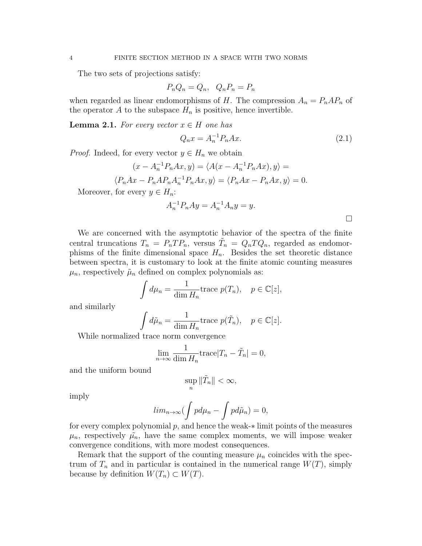The two sets of projections satisfy:

$$
P_n Q_n = Q_n, \quad Q_n P_n = P_n
$$

when regarded as linear endomorphisms of H. The compression  $A_n = P_n A P_n$  of the operator A to the subspace  $H_n$  is positive, hence invertible.

**Lemma 2.1.** For every vector  $x \in H$  one has

$$
Q_n x = A_n^{-1} P_n A x. \tag{2.1}
$$

*Proof.* Indeed, for every vector  $y \in H_n$  we obtain

$$
(x - A_n^{-1}P_nAx, y) = \langle A(x - A_n^{-1}P_nAx), y \rangle =
$$
  

$$
\langle P_nAx - P_nAP_nA_n^{-1}P_nAx, y \rangle = \langle P_nAx - P_nAx, y \rangle = 0.
$$

Moreover, for every  $y \in H_n$ :

$$
A_n^{-1}P_nAy = A_n^{-1}A_ny = y.
$$

We are concerned with the asymptotic behavior of the spectra of the finite central truncations  $T_n = P_n T P_n$ , versus  $\tilde{T}_n = Q_n T Q_n$ , regarded as endomorphisms of the finite dimensional space  $H_n$ . Besides the set theoretic distance between spectra, it is customary to look at the finite atomic counting measures  $\mu_n$ , respectively  $\tilde{\mu}_n$  defined on complex polynomials as:

$$
\int d\mu_n = \frac{1}{\dim H_n} \text{trace } p(T_n), \quad p \in \mathbb{C}[z],
$$

and similarly

$$
\int d\tilde{\mu}_n = \frac{1}{\dim H_n} \text{trace } p(\tilde{T}_n), \quad p \in \mathbb{C}[z].
$$

While normalized trace norm convergence

$$
\lim_{n \to \infty} \frac{1}{\dim H_n} \text{trace} |T_n - \tilde{T}_n| = 0,
$$

and the uniform bound

$$
\sup_n \|\tilde{T}_n\| < \infty,
$$

imply

$$
lim_{n\to\infty}(\int pd\mu_n - \int pd\tilde{\mu}_n) = 0,
$$

for every complex polynomial  $p$ , and hence the weak- $*$  limit points of the measures  $\mu_n$ , respectively  $\tilde{\mu}_n$ , have the same complex moments, we will impose weaker convergence conditions, with more modest consequences.

Remark that the support of the counting measure  $\mu_n$  coincides with the spectrum of  $T_n$  and in particular is contained in the numerical range  $W(T)$ , simply because by definition  $W(T_n) \subset W(T)$ .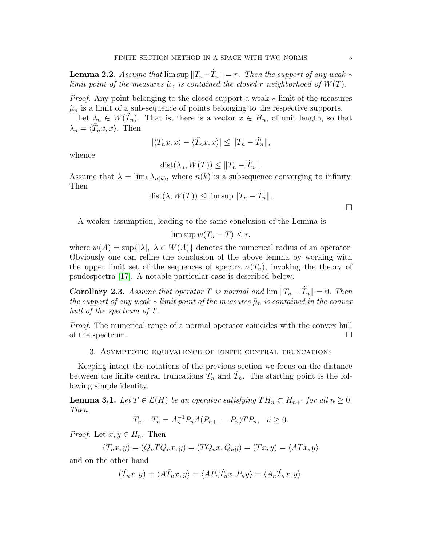**Lemma 2.2.** Assume that  $\limsup ||T_n - \tilde{T}_n|| = r$ . Then the support of any weak- $*$ limit point of the measures  $\tilde{\mu}_n$  is contained the closed r neighborhood of  $W(T)$ .

*Proof.* Any point belonging to the closed support a weak-∗ limit of the measures  $\tilde{\mu}_n$  is a limit of a sub-sequence of points belonging to the respective supports.

Let  $\lambda_n \in W(\tilde{T}_n)$ . That is, there is a vector  $x \in H_n$ , of unit length, so that  $\lambda_n = \langle \tilde{T}_n x, x \rangle$ . Then

$$
|\langle T_n x, x \rangle - \langle \tilde{T}_n x, x \rangle| \le ||T_n - \tilde{T}_n||,
$$

whence

$$
dist(\lambda_n, W(T)) \le ||T_n - \tilde{T}_n||.
$$

Assume that  $\lambda = \lim_k \lambda_{n(k)}$ , where  $n(k)$  is a subsequence converging to infinity. Then

$$
dist(\lambda, W(T)) \le \limsup ||T_n - \tilde{T}_n||.
$$

A weaker assumption, leading to the same conclusion of the Lemma is

$$
\limsup w(T_n - T) \le r,
$$

where  $w(A) = \sup\{|\lambda|, \lambda \in W(A)\}\$  denotes the numerical radius of an operator. Obviously one can refine the conclusion of the above lemma by working with the upper limit set of the sequences of spectra  $\sigma(T_n)$ , invoking the theory of psudospectra [\[17\]](#page-31-4). A notable particular case is described below.

**Corollary 2.3.** Assume that operator T is normal and  $\lim ||T_n - \tilde{T}_n|| = 0$ . Then the support of any weak- $*$  limit point of the measures  $\tilde{\mu}_n$  is contained in the convex hull of the spectrum of T.

Proof. The numerical range of a normal operator coincides with the convex hull of the spectrum.  $\Box$ 

#### 3. Asymptotic equivalence of finite central truncations

Keeping intact the notations of the previous section we focus on the distance between the finite central truncations  $T_n$  and  $\tilde{T}_n$ . The starting point is the following simple identity.

<span id="page-5-0"></span>**Lemma 3.1.** Let  $T \in \mathcal{L}(H)$  be an operator satisfying  $TH_n \subset H_{n+1}$  for all  $n \geq 0$ . Then

$$
\tilde{T}_n - T_n = A_n^{-1} P_n A (P_{n+1} - P_n) T P_n, \quad n \ge 0.
$$

*Proof.* Let  $x, y \in H_n$ . Then

$$
(\tilde{T}_n x, y) = (Q_n T Q_n x, y) = (T Q_n x, Q_n y) = (Tx, y) = \langle ATx, y \rangle
$$

and on the other hand

$$
(\tilde{T}_n x, y) = \langle A\tilde{T}_n x, y \rangle = \langle A P_n \tilde{T}_n x, P_n y \rangle = \langle A_n \tilde{T}_n x, y \rangle.
$$

 $\Box$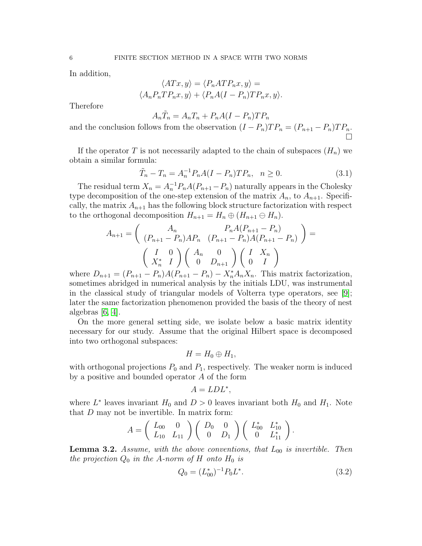In addition,

$$
\langle ATx, y \rangle = \langle P_n A T P_n x, y \rangle =
$$

$$
\langle A_n P_n T P_n x, y \rangle + \langle P_n A (I - P_n) T P_n x, y \rangle.
$$

Therefore

$$
A_n \tilde{T}_n = A_n T_n + P_n A (I - P_n) T P_n
$$

and the conclusion follows from the observation  $(I - P_n)TP_n = (P_{n+1} - P_n)TP_n$ .  $\bar{\Box}$ 

If the operator T is not necessarily adapted to the chain of subspaces  $(H_n)$  we obtain a similar formula:

<span id="page-6-1"></span>
$$
\tilde{T}_n - T_n = A_n^{-1} P_n A (I - P_n) T P_n, \quad n \ge 0.
$$
\n(3.1)

The residual term  $X_n = A_n^{-1} P_n A (P_{n+1} - P_n)$  naturally appears in the Cholesky type decomposition of the one-step extension of the matrix  $A_n$ , to  $A_{n+1}$ . Specifically, the matrix  $A_{n+1}$  has the following block structure factorization with respect to the orthogonal decomposition  $H_{n+1} = H_n \oplus (H_{n+1} \ominus H_n)$ .

$$
A_{n+1} = \begin{pmatrix} A_n & P_n A (P_{n+1} - P_n) \\ (P_{n+1} - P_n) A P_n & (P_{n+1} - P_n) A (P_{n+1} - P_n) \end{pmatrix} =
$$

$$
\begin{pmatrix} I & 0 \\ X_n^* & I \end{pmatrix} \begin{pmatrix} A_n & 0 \\ 0 & D_{n+1} \end{pmatrix} \begin{pmatrix} I & X_n \\ 0 & I \end{pmatrix}
$$

where  $D_{n+1} = (P_{n+1} - P_n)A(P_{n+1} - P_n) - X_n^* A_n X_n$ . This matrix factorization, sometimes abridged in numerical analysis by the initials LDU, was instrumental in the classical study of triangular models of Volterra type operators, see [\[9\]](#page-31-7); later the same factorization phenomenon provided the basis of the theory of nest algebras  $[6, 4]$  $[6, 4]$ .

On the more general setting side, we isolate below a basic matrix identity necessary for our study. Assume that the original Hilbert space is decomposed into two orthogonal subspaces:

$$
H=H_0\oplus H_1,
$$

with orthogonal projections  $P_0$  and  $P_1$ , respectively. The weaker norm is induced by a positive and bounded operator A of the form

$$
A = LDL^*,
$$

where  $L^*$  leaves invariant  $H_0$  and  $D > 0$  leaves invariant both  $H_0$  and  $H_1$ . Note that D may not be invertible. In matrix form:

$$
A = \left(\begin{array}{cc} L_{00} & 0 \\ L_{10} & L_{11} \end{array}\right) \left(\begin{array}{cc} D_0 & 0 \\ 0 & D_1 \end{array}\right) \left(\begin{array}{cc} L_{00}^* & L_{10}^* \\ 0 & L_{11}^* \end{array}\right).
$$

<span id="page-6-0"></span>**Lemma 3.2.** Assume, with the above conventions, that  $L_{00}$  is invertible. Then the projection  $Q_0$  in the A-norm of H onto  $H_0$  is

$$
Q_0 = (L_{00}^*)^{-1} P_0 L^*.
$$
\n(3.2)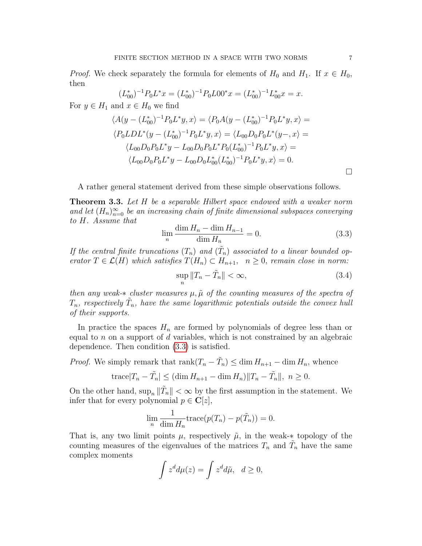*Proof.* We check separately the formula for elements of  $H_0$  and  $H_1$ . If  $x \in H_0$ , then

$$
(L_{00}^*)^{-1}P_0L^*x = (L_{00}^*)^{-1}P_0L00^*x = (L_{00}^*)^{-1}L_{00}^*x = x.
$$

For  $y \in H_1$  and  $x \in H_0$  we find

$$
\langle A(y - (L_{00}^*)^{-1} P_0 L^* y, x \rangle = \langle P_0 A(y - (L_{00}^*)^{-1} P_0 L^* y, x \rangle =
$$
  

$$
\langle P_0 L D L^* (y - (L_{00}^*)^{-1} P_0 L^* y, x \rangle = \langle L_{00} D_0 P_0 L^* (y -, x) \rangle =
$$
  

$$
\langle L_{00} D_0 P_0 L^* y - L_{00} D_0 P_0 L^* P_0 (L_{00}^*)^{-1} P_0 L^* y, x \rangle =
$$
  

$$
\langle L_{00} D_0 P_0 L^* y - L_{00} D_0 L_{00}^* (L_{00}^*)^{-1} P_0 L^* y, x \rangle = 0.
$$

A rather general statement derived from these simple observations follows.

<span id="page-7-1"></span>**Theorem 3.3.** Let H be a separable Hilbert space endowed with a weaker norm and let  $(H_n)_{n=0}^{\infty}$  be an increasing chain of finite dimensional subspaces converging to H. Assume that

<span id="page-7-0"></span>
$$
\lim_{n} \frac{\dim H_n - \dim H_{n-1}}{\dim H_n} = 0.
$$
\n(3.3)

If the central finite truncations  $(T_n)$  and  $(\tilde{T}_n)$  associated to a linear bounded operator  $T \in \mathcal{L}(H)$  which satisfies  $T(H_n) \subset H_{n+1}$ ,  $n \geq 0$ , remain close in norm:

$$
\sup_{n} \|T_n - \tilde{T}_n\| < \infty,\tag{3.4}
$$

then any weak- $*$  cluster measures  $\mu$ ,  $\tilde{\mu}$  of the counting measures of the spectra of  $T_n$ , respectively  $\tilde{T}_n$ , have the same logarithmic potentials outside the convex hull of their supports.

In practice the spaces  $H_n$  are formed by polynomials of degree less than or equal to  $n$  on a support of  $d$  variables, which is not constrained by an algebraic dependence. Then condition [\(3.3\)](#page-7-0) is satisfied.

*Proof.* We simply remark that  $\text{rank}(T_n - \tilde{T}_n) \leq \dim H_{n+1} - \dim H_n$ , whence

trace
$$
|T_n - \tilde{T}_n| \leq (\dim H_{n+1} - \dim H_n) ||T_n - \tilde{T}_n||, n \geq 0.
$$

On the other hand,  $\sup_n \|\tilde{T}_n\| < \infty$  by the first assumption in the statement. We infer that for every polynomial  $p \in \mathbf{C}[z]$ ,

$$
\lim_{n} \frac{1}{\dim H_n} \operatorname{trace}(p(T_n) - p(\tilde{T}_n)) = 0.
$$

That is, any two limit points  $\mu$ , respectively  $\tilde{\mu}$ , in the weak-\* topology of the counting measures of the eigenvalues of the matrices  $T_n$  and  $\tilde{T}_n$  have the same complex moments

$$
\int z^d d\mu(z) = \int z^d d\tilde{\mu}, \quad d \ge 0,
$$

 $\Box$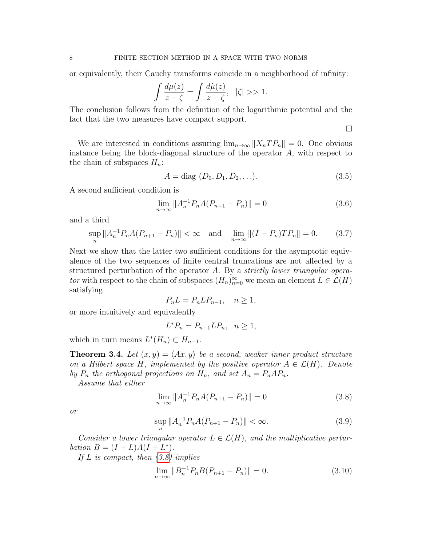or equivalently, their Cauchy transforms coincide in a neighborhood of infinity:

$$
\int \frac{d\mu(z)}{z-\zeta} = \int \frac{d\tilde{\mu}(z)}{z-\zeta}, \quad |\zeta| >> 1.
$$

The conclusion follows from the definition of the logarithmic potential and the fact that the two measures have compact support.

We are interested in conditions assuring  $\lim_{n\to\infty}||X_nTP_n|| = 0$ . One obvious instance being the block-diagonal structure of the operator A, with respect to the chain of subspaces  $H_n$ :

$$
A = \text{diag } (D_0, D_1, D_2, \ldots). \tag{3.5}
$$

 $\Box$ 

A second sufficient condition is

$$
\lim_{n \to \infty} ||A_n^{-1} P_n A (P_{n+1} - P_n)|| = 0 \tag{3.6}
$$

and a third

$$
\sup_{n} \|A_{n}^{-1}P_{n}A(P_{n+1} - P_{n})\| < \infty \quad \text{and} \quad \lim_{n \to \infty} \|(I - P_{n})TP_{n}\| = 0. \tag{3.7}
$$

Next we show that the latter two sufficient conditions for the asymptotic equivalence of the two sequences of finite central truncations are not affected by a structured perturbation of the operator A. By a strictly lower triangular operator with respect to the chain of subspaces  $(H_n)_{n=0}^{\infty}$  we mean an element  $L \in \mathcal{L}(H)$ satisfying

$$
P_n L = P_n L P_{n-1}, \quad n \ge 1,
$$

or more intuitively and equivalently

$$
L^*P_n = P_{n-1}LP_n, \quad n \ge 1,
$$

which in turn means  $L^*(H_n) \subset H_{n-1}$ .

<span id="page-8-2"></span>**Theorem 3.4.** Let  $(x, y) = \langle Ax, y \rangle$  be a second, weaker inner product structure on a Hilbert space H, implemented by the positive operator  $A \in \mathcal{L}(H)$ . Denote by  $P_n$  the orthogonal projections on  $H_n$ , and set  $A_n = P_n A P_n$ .

Assume that either

<span id="page-8-0"></span>
$$
\lim_{n \to \infty} ||A_n^{-1} P_n A (P_{n+1} - P_n)|| = 0 \tag{3.8}
$$

or

<span id="page-8-1"></span>
$$
\sup_{n} \|A_{n}^{-1} P_{n} A (P_{n+1} - P_{n})\| < \infty.
$$
\n(3.9)

Consider a lower triangular operator  $L \in \mathcal{L}(H)$ , and the multiplicative perturbation  $B = (I + L)A(I + L^*).$ 

If L is compact, then  $(3.8)$  implies

$$
\lim_{n \to \infty} ||B_n^{-1} P_n B (P_{n+1} - P_n)|| = 0.
$$
\n(3.10)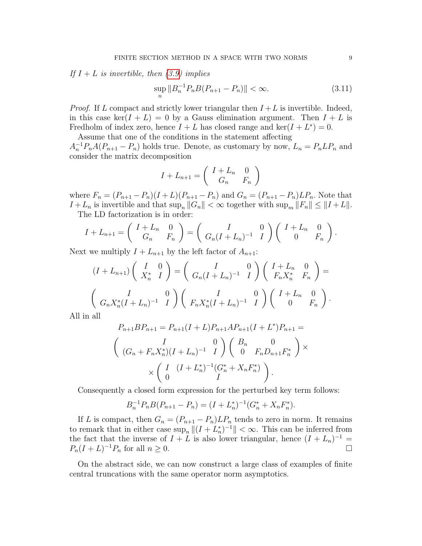If  $I + L$  is invertible, then  $(3.9)$  implies

$$
\sup_{n} \|B_{n}^{-1} P_{n} B (P_{n+1} - P_{n})\| < \infty.
$$
\n(3.11)

*Proof.* If L compact and strictly lower triangular then  $I + L$  is invertible. Indeed, in this case ker( $I + L$ ) = 0 by a Gauss elimination argument. Then  $I + L$  is Fredholm of index zero, hence  $I + L$  has closed range and ker $(I + L^*) = 0$ .

Assume that one of the conditions in the statement affecting  $A_n^{-1}P_nA(P_{n+1}-P_n)$  holds true. Denote, as customary by now,  $L_n = P_nL P_n$  and consider the matrix decomposition

$$
I + L_{n+1} = \begin{pmatrix} I + L_n & 0 \\ G_n & F_n \end{pmatrix}
$$

where  $F_n = (P_{n+1} - P_n)(I + L)(P_{n+1} - P_n)$  and  $G_n = (P_{n+1} - P_n)LP_n$ . Note that  $I + L_n$  is invertible and that  $\sup_n ||G_n|| < \infty$  together with  $\sup_m ||F_n|| \leq ||I + L||$ . The LD factorization is in order:

$$
I + L_{n+1} = \begin{pmatrix} I + L_n & 0 \\ G_n & F_n \end{pmatrix} = \begin{pmatrix} I & 0 \\ G_n(I + L_n)^{-1} & I \end{pmatrix} \begin{pmatrix} I + L_n & 0 \\ 0 & F_n \end{pmatrix}.
$$

Next we multiply  $I + L_{n+1}$  by the left factor of  $A_{n+1}$ :

$$
(I+L_{n+1})\begin{pmatrix}I&0\\X_n^*&I\end{pmatrix}=\begin{pmatrix}I&0\\G_n(I+L_n)^{-1}&I\end{pmatrix}\begin{pmatrix}I+L_n&0\\F_nX_n^*&F_n\end{pmatrix}=\begin{pmatrix}\nI\\G_nX_n^*(I+L_n)^{-1}&I\end{pmatrix}\begin{pmatrix}I&0\\F_nX_n^*(I+L_n)^{-1}&I\end{pmatrix}\begin{pmatrix}I+L_n&0\\0&F_n\end{pmatrix}.
$$

All in all

$$
P_{n+1}BP_{n+1} = P_{n+1}(I+L)P_{n+1}AP_{n+1}(I+L^*)P_{n+1} =
$$
\n
$$
\begin{pmatrix}\nI & 0 \\
(G_n + F_n X_n^*)(I+L_n)^{-1} & I\n\end{pmatrix}\n\begin{pmatrix}\nB_n & 0 \\
0 & F_n D_{n+1} F_n^*\n\end{pmatrix} \times
$$
\n
$$
\times \begin{pmatrix}\nI & (I + L_n^*)^{-1} (G_n^* + X_n F_n^*) \\
0 & I\n\end{pmatrix}.
$$

Consequently a closed form expression for the perturbed key term follows:

$$
B_n^{-1}P_nB(P_{n+1}-P_n)=(I+L_n^*)^{-1}(G_n^*+X_nF_n^*).
$$

If L is compact, then  $G_n = (P_{n+1} - P_n)LP_n$  tends to zero in norm. It remains to remark that in either case  $\sup_n ||(I + L_n^*)^{-1}|| < \infty$ . This can be inferred from the fact that the inverse of  $I + L$  is also lower triangular, hence  $(I + L_n)^{-1} =$  $P_n(I+L)^{-1}P_n$  for all  $n \geq 0$ .

On the abstract side, we can now construct a large class of examples of finite central truncations with the same operator norm asymptotics.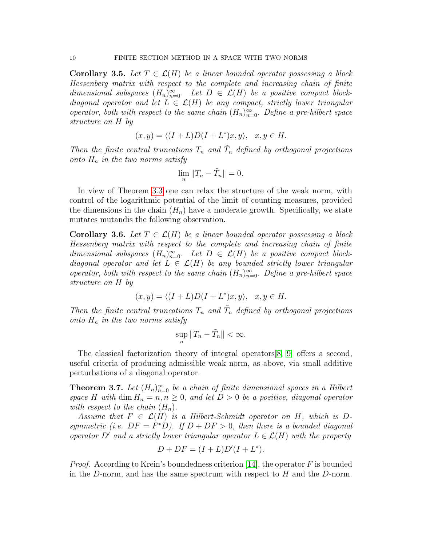<span id="page-10-0"></span>**Corollary 3.5.** Let  $T \in \mathcal{L}(H)$  be a linear bounded operator possessing a block Hessenberg matrix with respect to the complete and increasing chain of finite dimensional subspaces  $(H_n)_{n=0}^{\infty}$ . Let  $D \in \mathcal{L}(H)$  be a positive compact blockdiagonal operator and let  $L \in \mathcal{L}(H)$  be any compact, strictly lower triangular operator, both with respect to the same chain  $(H_n)_{n=0}^{\infty}$ . Define a pre-hilbert space structure on H by

$$
(x, y) = \langle (I + L)D(I + L^*)x, y \rangle, \quad x, y \in H.
$$

Then the finite central truncations  $T_n$  and  $\tilde{T}_n$  defined by orthogonal projections onto  $H_n$  in the two norms satisfy

$$
\lim_{n} \|T_n - \tilde{T}_n\| = 0.
$$

In view of Theorem [3.3](#page-7-1) one can relax the structure of the weak norm, with control of the logarithmic potential of the limit of counting measures, provided the dimensions in the chain  $(H_n)$  have a moderate growth. Specifically, we state mutates mutandis the following observation.

**Corollary 3.6.** Let  $T \in \mathcal{L}(H)$  be a linear bounded operator possessing a block Hessenberg matrix with respect to the complete and increasing chain of finite dimensional subspaces  $(H_n)_{n=0}^{\infty}$ . Let  $D \in \mathcal{L}(H)$  be a positive compact blockdiagonal operator and let  $L \in \mathcal{L}(H)$  be any bounded strictly lower triangular operator, both with respect to the same chain  $(H_n)_{n=0}^{\infty}$ . Define a pre-hilbert space structure on H by

$$
(x, y) = \langle (I + L)D(I + L^*)x, y \rangle, \quad x, y \in H.
$$

Then the finite central truncations  $T_n$  and  $\tilde{T}_n$  defined by orthogonal projections onto  $H_n$  in the two norms satisfy

$$
\sup_n ||T_n - \tilde{T}_n|| < \infty.
$$

The classical factorization theory of integral operators[\[8,](#page-31-6) [9\]](#page-31-7) offers a second, useful criteria of producing admissible weak norm, as above, via small additive perturbations of a diagonal operator.

**Theorem 3.7.** Let  $(H_n)_{n=0}^{\infty}$  be a chain of finite dimensional spaces in a Hilbert space H with dim  $H_n = n, n \geq 0$ , and let  $D > 0$  be a positive, diagonal operator with respect to the chain  $(H_n)$ .

Assume that  $F \in \mathcal{L}(H)$  is a Hilbert-Schmidt operator on H, which is Dsymmetric (i.e.  $DF = F^*D$ ). If  $D + DF > 0$ , then there is a bounded diagonal operator D' and a strictly lower triangular operator  $L \in \mathcal{L}(H)$  with the property

$$
D + DF = (I + L)D'(I + L^*).
$$

*Proof.* According to Krein's boundedness criterion [\[14\]](#page-31-5), the operator  $F$  is bounded in the D-norm, and has the same spectrum with respect to  $H$  and the D-norm.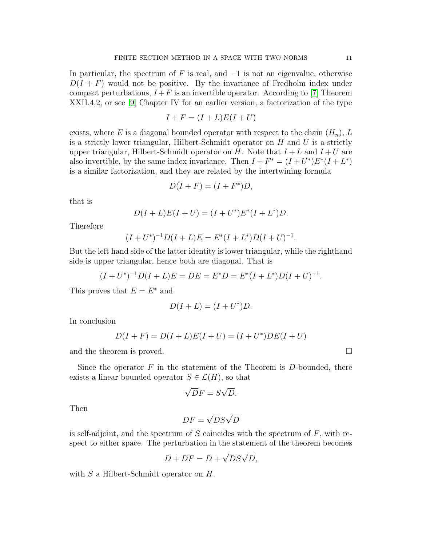In particular, the spectrum of F is real, and  $-1$  is not an eigenvalue, otherwise  $D(I + F)$  would not be positive. By the invariance of Fredholm index under compact perturbations,  $I + F$  is an invertible operator. According to [\[7\]](#page-30-6) Theorem XXII.4.2, or see [\[9\]](#page-31-7) Chapter IV for an earlier version, a factorization of the type

$$
I + F = (I + L)E(I + U)
$$

exists, where E is a diagonal bounded operator with respect to the chain  $(H_n)$ , L is a strictly lower triangular, Hilbert-Schmidt operator on  $H$  and  $U$  is a strictly upper triangular, Hilbert-Schmidt operator on H. Note that  $I + L$  and  $I + U$  are also invertible, by the same index invariance. Then  $I + F^* = (I + U^*)E^*(I + L^*)$ is a similar factorization, and they are related by the intertwining formula

$$
D(I+F) = (I+F^*)D,
$$

that is

$$
D(I + L)E(I + U) = (I + U^*)E^*(I + L^*)D.
$$

Therefore

$$
(I + U^*)^{-1}D(I + L)E = E^*(I + L^*)D(I + U)^{-1}
$$

But the left hand side of the latter identity is lower triangular, while the righthand side is upper triangular, hence both are diagonal. That is

$$
(I + U^*)^{-1}D(I + L)E = DE = E^*D = E^*(I + L^*)D(I + U)^{-1}.
$$

This proves that  $E = E^*$  and

$$
D(I+L) = (I+U^*)D.
$$

In conclusion

$$
D(I + F) = D(I + L)E(I + U) = (I + U^*)DE(I + U)
$$

and the theorem is proved.

Since the operator  $F$  in the statement of the Theorem is  $D$ -bounded, there exists a linear bounded operator  $S \in \mathcal{L}(H)$ , so that

$$
\sqrt{D}F = S\sqrt{D}.
$$

Then

$$
DF = \sqrt{D}S\sqrt{D}
$$

is self-adjoint, and the spectrum of  $S$  coincides with the spectrum of  $F$ , with respect to either space. The perturbation in the statement of the theorem becomes

$$
D + DF = D + \sqrt{D}S\sqrt{D},
$$

with  $S$  a Hilbert-Schmidt operator on  $H$ .

.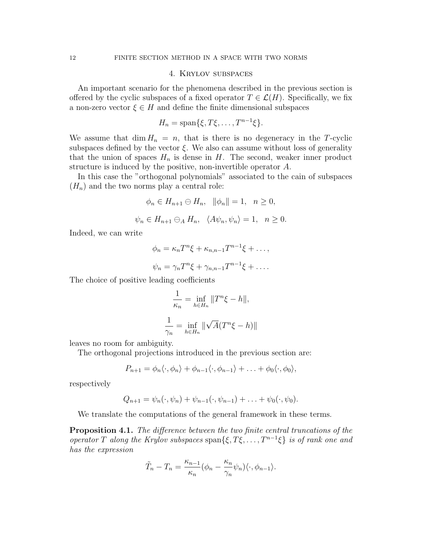#### 4. Krylov subspaces

An important scenario for the phenomena described in the previous section is offered by the cyclic subspaces of a fixed operator  $T \in \mathcal{L}(H)$ . Specifically, we fix a non-zero vector  $\xi \in H$  and define the finite dimensional subspaces

$$
H_n = \text{span}\{\xi, T\xi, \dots, T^{n-1}\xi\}.
$$

We assume that dim  $H_n = n$ , that is there is no degeneracy in the T-cyclic subspaces defined by the vector  $\xi$ . We also can assume without loss of generality that the union of spaces  $H_n$  is dense in H. The second, weaker inner product structure is induced by the positive, non-invertible operator A.

In this case the "orthogonal polynomials" associated to the cain of subspaces  $(H_n)$  and the two norms play a central role:

$$
\phi_n \in H_{n+1} \ominus H_n, \quad \|\phi_n\| = 1, \quad n \ge 0,
$$
  

$$
\psi_n \in H_{n+1} \ominus_A H_n, \quad \langle A\psi_n, \psi_n \rangle = 1, \quad n \ge 0.
$$

Indeed, we can write

$$
\phi_n = \kappa_n T^n \xi + \kappa_{n,n-1} T^{n-1} \xi + \dots,
$$
  

$$
\psi_n = \gamma_n T^n \xi + \gamma_{n,n-1} T^{n-1} \xi + \dots.
$$

The choice of positive leading coefficients

$$
\frac{1}{\kappa_n} = \inf_{h \in H_n} ||T^n \xi - h||,
$$
  

$$
\frac{1}{\gamma_n} = \inf_{h \in H_n} ||\sqrt{A}(T^n \xi - h)||
$$

leaves no room for ambiguity.

The orthogonal projections introduced in the previous section are:

$$
P_{n+1} = \phi_n \langle \cdot, \phi_n \rangle + \phi_{n-1} \langle \cdot, \phi_{n-1} \rangle + \ldots + \phi_0 \langle \cdot, \phi_0 \rangle,
$$

respectively

$$
Q_{n+1} = \psi_n(\cdot, \psi_n) + \psi_{n-1}(\cdot, \psi_{n-1}) + \ldots + \psi_0(\cdot, \psi_0).
$$

We translate the computations of the general framework in these terms.

Proposition 4.1. The difference between the two finite central truncations of the operator T along the Krylov subspaces span $\{\xi, T\xi, \ldots, T^{n-1}\xi\}$  is of rank one and has the expression

$$
\tilde{T}_n - T_n = \frac{\kappa_{n-1}}{\kappa_n} (\phi_n - \frac{\kappa_n}{\gamma_n} \psi_n) \langle \cdot, \phi_{n-1} \rangle.
$$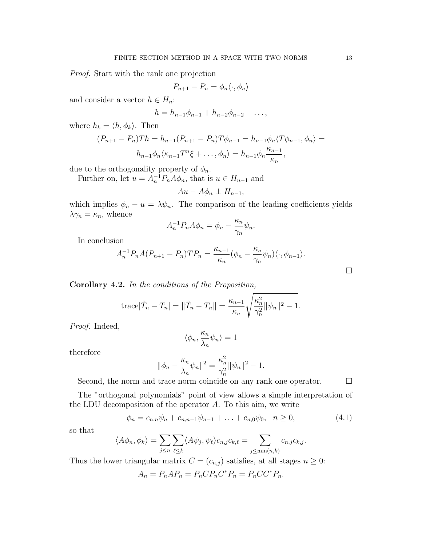Proof. Start with the rank one projection

$$
P_{n+1} - P_n = \phi_n \langle \cdot, \phi_n \rangle
$$

and consider a vector  $h \in H_n$ :

$$
h = h_{n-1}\phi_{n-1} + h_{n-2}\phi_{n-2} + \dots,
$$

where  $h_k = \langle h, \phi_k \rangle$ . Then

$$
(P_{n+1} - P_n)Th = h_{n-1}(P_{n+1} - P_n)T\phi_{n-1} = h_{n-1}\phi_n \langle T\phi_{n-1}, \phi_n \rangle =
$$
  

$$
h_{n-1}\phi_n \langle \kappa_{n-1}T^n \xi + \dots, \phi_n \rangle = h_{n-1}\phi_n \frac{\kappa_{n-1}}{\kappa_n},
$$

due to the orthogonality property of  $\phi_n$ .

Further on, let  $u = A_n^{-1} P_n A \phi_n$ , that is  $u \in H_{n-1}$  and

$$
Au - A\phi_n \perp H_{n-1},
$$

which implies  $\phi_n - u = \lambda \psi_n$ . The comparison of the leading coefficients yields  $\lambda \gamma_n = \kappa_n$ , whence

$$
A_n^{-1} P_n A \phi_n = \phi_n - \frac{\kappa_n}{\gamma_n} \psi_n.
$$

In conclusion

$$
A_n^{-1}P_nA(P_{n+1}-P_n)TP_n = \frac{\kappa_{n-1}}{\kappa_n}(\phi_n - \frac{\kappa_n}{\gamma_n}\psi_n)\langle \cdot, \phi_{n-1}\rangle.
$$

Corollary 4.2. In the conditions of the Proposition,

trace
$$
|\tilde{T}_n - T_n|
$$
 =  $||\tilde{T}_n - T_n|| = \frac{\kappa_{n-1}}{\kappa_n} \sqrt{\frac{\kappa_n^2}{\gamma_n^2} ||\psi_n||^2 - 1}.$ 

Proof. Indeed,

$$
\langle \phi_n, \frac{\kappa_n}{\lambda_n} \psi_n \rangle = 1
$$

therefore

$$
\|\phi_n - \frac{\kappa_n}{\lambda_n} \psi_n\|^2 = \frac{\kappa_n^2}{\gamma_n^2} \|\psi_n\|^2 - 1.
$$

Second, the norm and trace norm coincide on any rank one operator.  $\square$ 

The "orthogonal polynomials" point of view allows a simple interpretation of the LDU decomposition of the operator A. To this aim, we write

<span id="page-13-0"></span>
$$
\phi_n = c_{n,n}\psi_n + c_{n,n-1}\psi_{n-1} + \ldots + c_{n,0}\psi_0, \quad n \ge 0,
$$
\n(4.1)

so that

$$
\langle A\phi_n, \phi_k \rangle = \sum_{j \le n} \sum_{\ell \le k} \langle A\psi_j, \psi_\ell \rangle c_{n,j} \overline{c_{k,\ell}} = \sum_{j \le \min(n,k)} c_{n,j} \overline{c_{k,j}}.
$$

Thus the lower triangular matrix  $C = (c_{n,j})$  satisfies, at all stages  $n \geq 0$ :

$$
A_n = P_n A P_n = P_n C P_n C^* P_n = P_n C C^* P_n.
$$

 $\Box$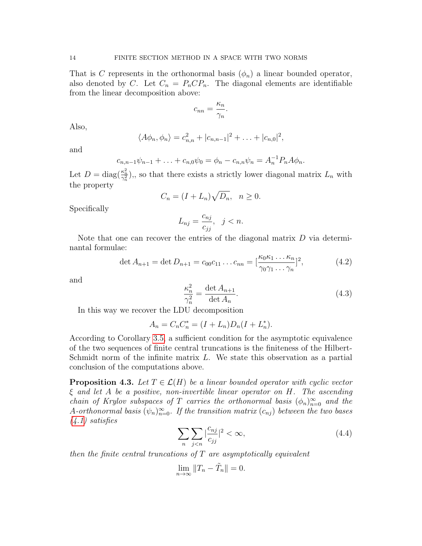That is C represents in the orthonormal basis  $(\phi_n)$  a linear bounded operator, also denoted by C. Let  $C_n = P_n C P_n$ . The diagonal elements are identifiable from the linear decomposition above:

$$
c_{nn} = \frac{\kappa_n}{\gamma_n}.
$$

Also,

$$
\langle A\phi_n, \phi_n \rangle = c_{n,n}^2 + |c_{n,n-1}|^2 + \ldots + |c_{n,0}|^2
$$

and

$$
c_{n,n-1}\psi_{n-1} + \ldots + c_{n,0}\psi_0 = \phi_n - c_{n,n}\psi_n = A_n^{-1}P_nA\phi_n.
$$

Let  $D = \text{diag}(\frac{\kappa_n^2}{\gamma_n^2}),$ , so that there exists a strictly lower diagonal matrix  $L_n$  with the property

$$
C_n = (I + L_n)\sqrt{D_n}, \quad n \ge 0.
$$

Specifically

$$
L_{nj} = \frac{c_{nj}}{c_{jj}}, \quad j < n.
$$

Note that one can recover the entries of the diagonal matrix  $D$  via determinantal formulae:

$$
\det A_{n+1} = \det D_{n+1} = c_{00}c_{11} \dots c_{nn} = \left[\frac{\kappa_0 \kappa_1 \dots \kappa_n}{\gamma_0 \gamma_1 \dots \gamma_n}\right]^2, \tag{4.2}
$$

and

$$
\frac{\kappa_n^2}{\gamma_n^2} = \frac{\det A_{n+1}}{\det A_n}.
$$
\n(4.3)

In this way we recover the LDU decomposition

$$
A_n = C_n C_n^* = (I + L_n) D_n (I + L_n^*).
$$

According to Corollary [3.5,](#page-10-0) a sufficient condition for the asymptotic equivalence of the two sequences of finite central truncations is the finiteness of the Hilbert-Schmidt norm of the infinite matrix L. We state this observation as a partial conclusion of the computations above.

**Proposition 4.3.** Let  $T \in \mathcal{L}(H)$  be a linear bounded operator with cyclic vector  $\xi$  and let A be a positive, non-invertible linear operator on H. The ascending chain of Krylov subspaces of T carries the orthonormal basis  $(\phi_n)_{n=0}^{\infty}$  and the A-orthonormal basis  $(\psi_n)_{n=0}^{\infty}$ . If the transition matrix  $(c_{nj})$  between the two bases  $(4.1)$  satisfies

$$
\sum_{n}\sum_{j\n(4.4)
$$

then the finite central truncations of  $T$  are asymptotically equivalent

$$
\lim_{n \to \infty} ||T_n - \tilde{T}_n|| = 0.
$$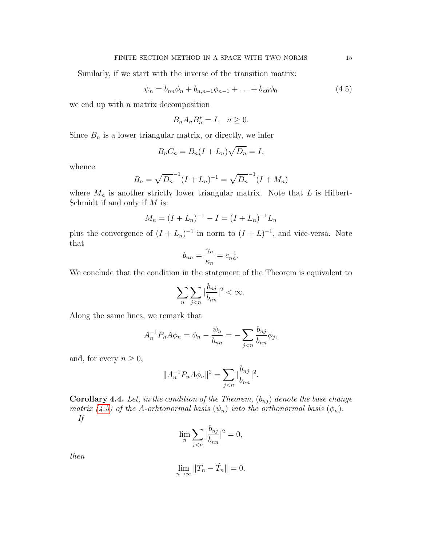Similarly, if we start with the inverse of the transition matrix:

<span id="page-15-0"></span>
$$
\psi_n = b_{nn}\phi_n + b_{n,n-1}\phi_{n-1} + \ldots + b_{n0}\phi_0 \tag{4.5}
$$

we end up with a matrix decomposition

$$
B_n A_n B_n^* = I, \quad n \ge 0.
$$

Since  $B_n$  is a lower triangular matrix, or directly, we infer

$$
B_n C_n = B_n (I + L_n) \sqrt{D_n} = I,
$$

whence

$$
B_n = \sqrt{D_n}^{-1} (I + L_n)^{-1} = \sqrt{D_n}^{-1} (I + M_n)
$$

where  $M_n$  is another strictly lower triangular matrix. Note that L is Hilbert-Schmidt if and only if M is:

$$
M_n = (I + L_n)^{-1} - I = (I + L_n)^{-1} L_n
$$

plus the convergence of  $(I + L_n)^{-1}$  in norm to  $(I + L)^{-1}$ , and vice-versa. Note that

$$
b_{nn} = \frac{\gamma_n}{\kappa_n} = c_{nn}^{-1}.
$$

We conclude that the condition in the statement of the Theorem is equivalent to

$$
\sum_{n}\sum_{j
$$

Along the same lines, we remark that

$$
A_n^{-1}P_nA\phi_n = \phi_n - \frac{\psi_n}{b_{nn}} = -\sum_{j < n} \frac{b_{nj}}{b_{nn}}\phi_j,
$$

and, for every  $n \geq 0$ ,

$$
||A_n^{-1}P_nA\phi_n||^2 = \sum_{j
$$

**Corollary 4.4.** Let, in the condition of the Theorem,  $(b_{nj})$  denote the base change matrix [\(4.5\)](#page-15-0) of the A-orhtonormal basis  $(\psi_n)$  into the orthonormal basis  $(\phi_n)$ . If

$$
\lim_{n}\sum_{j
$$

then

$$
\lim_{n \to \infty} ||T_n - \tilde{T}_n|| = 0.
$$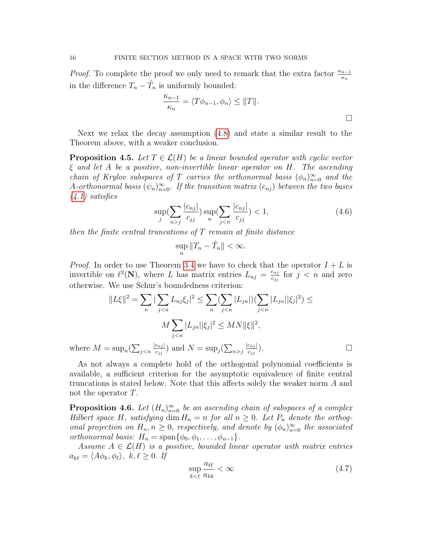*Proof.* To complete the proof we only need to remark that the extra factor  $\frac{\kappa_{n-1}}{\kappa_n}$ in the difference  $T_n - \tilde{T}_n$  is uniformly bounded:

$$
\frac{\kappa_{n-1}}{\kappa_n} = \langle T\phi_{n-1}, \phi_n \rangle \le ||T||.
$$

 $\Box$ 

Next we relax the decay assumption [\(4.8\)](#page-17-0) and state a similar result to the Theorem above, with a weaker conclusion.

**Proposition 4.5.** Let  $T \in \mathcal{L}(H)$  be a linear bounded operator with cyclic vector  $\xi$  and let A be a positive, non-invertible linear operator on H. The ascending chain of Krylov subspaces of T carries the orthonormal basis  $(\phi_n)_{n=0}^{\infty}$  and the A-orthonormal basis  $(\psi_n)_{n=0}^{\infty}$ . If the transition matrix  $(c_{nj})$  between the two bases  $(4.1)$  satisfies

$$
\sup_{j} \left( \sum_{n > j} \frac{|c_{nj}|}{c_{jj}} \right) \sup_{n} \left( \sum_{j < n} \frac{|c_{nj}|}{c_{jj}} \right) < 1,\tag{4.6}
$$

then the finite central truncations of T remain at finite distance

$$
\sup_n ||T_n - \tilde{T}_n|| < \infty.
$$

*Proof.* In order to use Theorem [3.4](#page-8-2) we have to check that the operator  $I + L$  is invertible on  $\ell^2(\mathbf{N})$ , where L has matrix entries  $L_{nj} = \frac{c_{nj}}{c_{nj}}$  $\frac{c_{nj}}{c_{jj}}$  for  $j < n$  and zero otherwise. We use Schur's boundedness criterion:

$$
||L\xi||^2 = \sum_{n} |\sum_{j  

$$
M \sum_{j  

$$
= \sup_n (\sum_{ii} \frac{|c_{nj}|}{n}).
$$
$$
$$

where  $M$  $\left(\sum_{j < n}\right)$  $c_{jj}$ ) and  $N = \sup_j(\sum_{n>j}$  $c_{jj}$ 

As not always a complete hold of the orthogonal polynomial coefficients is available, a sufficient criterion for the asymptotic equivalence of finite central truncations is stated below. Note that this affects solely the weaker norm A and not the operator T.

<span id="page-16-0"></span>**Proposition 4.6.** Let  $(H_n)_{n=0}^{\infty}$  be an ascending chain of subspaces of a complex Hilbert space H, satisfying dim  $H_n = n$  for all  $n \geq 0$ . Let  $P_n$  denote the orthogonal projection on  $H_n, n \geq 0$ , respectively, and denote by  $(\phi_n)_{n=0}^{\infty}$  the associated orthonormal basis:  $H_n = \text{span}\{\phi_0, \phi_1, \ldots, \phi_{n-1}\}.$ 

Assume  $A \in \mathcal{L}(H)$  is a positive, bounded linear operator with matrix entries  $a_{k\ell} = \langle A\phi_k, \phi_\ell \rangle, \; k, \ell \geq 0.$  If

$$
\sup_{k<\ell} \frac{a_{\ell\ell}}{a_{kk}} < \infty \tag{4.7}
$$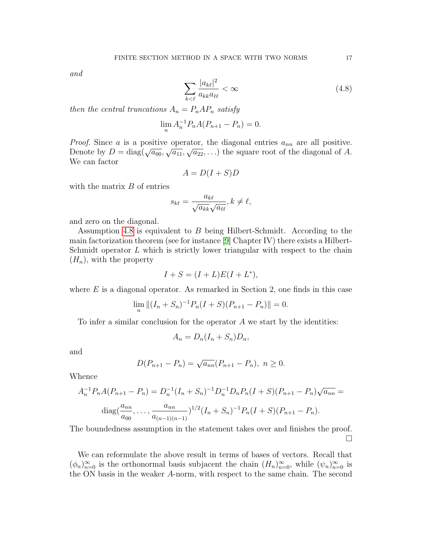and

<span id="page-17-0"></span>
$$
\sum_{k<\ell} \frac{|a_{k\ell}|^2}{a_{kk}a_{\ell\ell}} < \infty \tag{4.8}
$$

then the central truncations  $A_n = P_n A P_n$  satisfy

$$
\lim_{n} A_{n}^{-1} P_{n} A (P_{n+1} - P_{n}) = 0.
$$

*Proof.* Since a is a positive operator, the diagonal entries  $a_{nn}$  are all positive. Denote by  $D = \text{diag}(\sqrt{a_{00}}, \sqrt{a_{11}}, \sqrt{a_{22}}, ...)$  the square root of the diagonal of A. We can factor

$$
A = D(I + S)D
$$

with the matrix  $B$  of entries

$$
s_{k\ell} = \frac{a_{k\ell}}{\sqrt{a_{kk}}\sqrt{a_{\ell\ell}}}, k \neq \ell,
$$

and zero on the diagonal.

Assumption [4.8](#page-17-0) is equivalent to B being Hilbert-Schmidt. According to the main factorization theorem (see for instance [\[9\]](#page-31-7) Chapter IV) there exists a Hilbert-Schmidt operator L which is strictly lower triangular with respect to the chain  $(H_n)$ , with the property

$$
I + S = (I + L)E(I + L^*),
$$

where  $E$  is a diagonal operator. As remarked in Section 2, one finds in this case

$$
\lim_{n}||(I_{n}+S_{n})^{-1}P_{n}(I+S)(P_{n+1}-P_{n})||=0.
$$

To infer a similar conclusion for the operator  $A$  we start by the identities:

$$
A_n = D_n(I_n + S_n)D_n,
$$

and

$$
D(P_{n+1} - P_n) = \sqrt{a_{nn}} (P_{n+1} - P_n), \ n \ge 0.
$$

Whence

$$
A_n^{-1}P_nA(P_{n+1} - P_n) = D_n^{-1}(I_n + S_n)^{-1}D_n^{-1}D_nP_n(I + S)(P_{n+1} - P_n)\sqrt{a_{nn}} =
$$
  

$$
\text{diag}\left(\frac{a_{nn}}{a_{00}}, \dots, \frac{a_{nn}}{a_{(n-1)(n-1)}}\right)^{1/2}(I_n + S_n)^{-1}P_n(I + S)(P_{n+1} - P_n).
$$

The boundedness assumption in the statement takes over and finishes the proof.  $\Box$ 

We can reformulate the above result in terms of bases of vectors. Recall that  $(\phi_n)_{n=0}^{\infty}$  is the orthonormal basis subjacent the chain  $(H_n)_{n=0}^{\infty}$ , while  $(\psi_n)_{n=0}^{\infty}$  is the ON basis in the weaker A-norm, with respect to the same chain. The second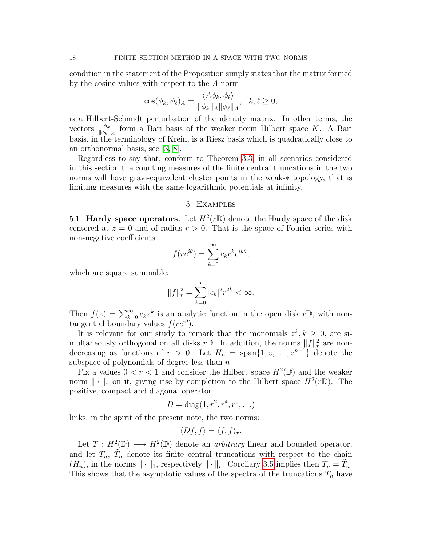condition in the statement of the Proposition simply states that the matrix formed by the cosine values with respect to the A-norm

$$
\cos(\phi_k, \phi_\ell)_A = \frac{\langle A\phi_k, \phi_\ell \rangle}{\|\phi_k\|_A \|\phi_\ell\|_A}, \quad k, \ell \ge 0,
$$

is a Hilbert-Schmidt perturbation of the identity matrix. In other terms, the vectors  $\frac{\phi_k}{\|\phi_k\|_A}$  form a Bari basis of the weaker norm Hilbert space K. A Bari basis, in the terminology of Krein, is a Riesz basis which is quadratically close to an orthonormal basis, see [\[3,](#page-30-5) [8\]](#page-31-6).

Regardless to say that, conform to Theorem [3.3,](#page-7-1) in all scenarios considered in this section the counting measures of the finite central truncations in the two norms will have gravi-equivalent cluster points in the weak-∗ topology, that is limiting measures with the same logarithmic potentials at infinity.

#### 5. Examples

5.1. Hardy space operators. Let  $H^2(r\mathbb{D})$  denote the Hardy space of the disk centered at  $z = 0$  and of radius  $r > 0$ . That is the space of Fourier series with non-negative coefficients

$$
f(re^{i\theta}) = \sum_{k=0}^{\infty} c_k r^k e^{ik\theta},
$$

which are square summable:

$$
||f||_r^2 = \sum_{k=0}^{\infty} |c_k|^2 r^{2k} < \infty.
$$

Then  $f(z) = \sum_{k=0}^{\infty} c_k z^k$  is an analytic function in the open disk rD, with nontangential boundary values  $f(re^{i\theta})$ .

It is relevant for our study to remark that the monomials  $z^k, k \geq 0$ , are simultaneously orthogonal on all disks  $r\mathbb{D}$ . In addition, the norms  $||f||_r^2$  are nondecreasing as functions of  $r > 0$ . Let  $H_n = \text{span}\{1, z, \ldots, z^{n-1}\}\$  denote the subspace of polynomials of degree less than  $n$ .

Fix a values  $0 < r < 1$  and consider the Hilbert space  $H^2(\mathbb{D})$  and the weaker norm  $\|\cdot\|_r$  on it, giving rise by completion to the Hilbert space  $H^2(r\mathbb{D})$ . The positive, compact and diagonal operator

$$
D = diag(1, r^2, r^4, r^6, \ldots)
$$

links, in the spirit of the present note, the two norms:

$$
\langle Df, f \rangle = \langle f, f \rangle_r.
$$

Let  $T: H^2(\mathbb{D}) \longrightarrow H^2(\mathbb{D})$  denote an *arbitrary* linear and bounded operator, and let  $T_n$ ,  $\tilde{T}_n$  denote its finite central truncations with respect to the chain  $(H_n)$ , in the norms  $\|\cdot\|_1$ , respectively  $\|\cdot\|_r$ . Corollary [3.5](#page-10-0) implies then  $T_n = \tilde{T}_n$ . This shows that the asymptotic values of the spectra of the truncations  $T_n$  have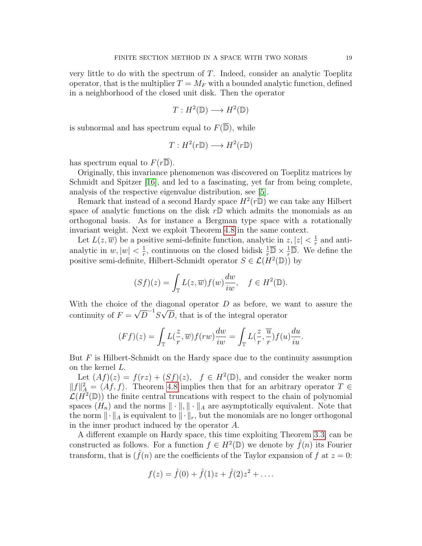very little to do with the spectrum of  $T$ . Indeed, consider an analytic Toeplitz operator, that is the multiplier  $T = M_F$  with a bounded analytic function, defined in a neighborhood of the closed unit disk. Then the operator

$$
T: H^2(\mathbb{D}) \longrightarrow H^2(\mathbb{D})
$$

is subnormal and has spectrum equal to  $F(\overline{\mathbb{D}})$ , while

$$
T: H^2(r\mathbb{D}) \longrightarrow H^2(r\mathbb{D})
$$

has spectrum equal to  $F(r\overline{\mathbb{D}})$ .

Originally, this invariance phenomenon was discovered on Toeplitz matrices by Schmidt and Spitzer [\[16\]](#page-31-9), and led to a fascinating, yet far from being complete, analysis of the respective eigenvalue distribution, see [\[5\]](#page-30-1).

Remark that instead of a second Hardy space  $H^2(r\mathbb{D})$  we can take any Hilbert space of analytic functions on the disk  $r\mathbb{D}$  which admits the monomials as an orthogonal basis. As for instance a Bergman type space with a rotationally invariant weight. Next we exploit Theorem [4.8](#page-17-0) in the same context.

Let  $L(z,\overline{w})$  be a positive semi-definite function, analytic in  $z, |z| < \frac{1}{r}$  $\frac{1}{r}$  and antianalytic in  $w, |w| < \frac{1}{r}$ <sup>1</sup>/<sub>r</sub>, continuous on the closed bidisk  $\frac{1}{r}$   $\overline{D}$  ×  $\frac{1}{r}$  $\overline{D}$ . We define the positive semi-definite, Hilbert-Schmidt operator  $S \in \mathcal{L}(H^2(\mathbb{D}))$  by

$$
(Sf)(z) = \int_{\mathbb{T}} L(z, \overline{w}) f(w) \frac{dw}{iw}, \quad f \in H^{2}(\mathbb{D}).
$$

With the choice of the diagonal operator  $D$  as before, we want to assure the continuity of  $F =$ √  $\overline{D}^{-1}S$ ≀µ<br>∕ D, that is of the integral operator

$$
(Ff)(z) = \int_{\mathbb{T}} L(\frac{z}{r}, \overline{w}) f(rw) \frac{dw}{iw} = \int_{\mathbb{T}} L(\frac{z}{r}, \frac{\overline{u}}{r}) f(u) \frac{du}{iu}.
$$

But F is Hilbert-Schmidt on the Hardy space due to the continuity assumption on the kernel L.

Let  $(Af)(z) = f(rz) + (Sf)(z)$ ,  $f \in H^2(\mathbb{D})$ , and consider the weaker norm  $||f||_A^2 = \langle Af, f \rangle$ . Theorem [4.8](#page-17-0) implies then that for an arbitrary operator  $T \in$  $\mathcal{L}(H^2(\mathbb{D}))$  the finite central truncations with respect to the chain of polynomial spaces  $(H_n)$  and the norms  $\|\cdot\|$ ,  $\|\cdot\|_A$  are asymptotically equivalent. Note that the norm  $\lVert \cdot \rVert_A$  is equivalent to  $\lVert \cdot \rVert_r$ , but the monomials are no longer orthogonal in the inner product induced by the operator A.

A different example on Hardy space, this time exploiting Theorem [3.3,](#page-7-1) can be constructed as follows. For a function  $f \in H^2(\mathbb{D})$  we denote by  $\hat{f}(n)$  its Fourier transform, that is  $(\hat{f}(n))$  are the coefficients of the Taylor expansion of f at  $z = 0$ :

$$
f(z) = \hat{f}(0) + \hat{f}(1)z + \hat{f}(2)z^2 + \dots
$$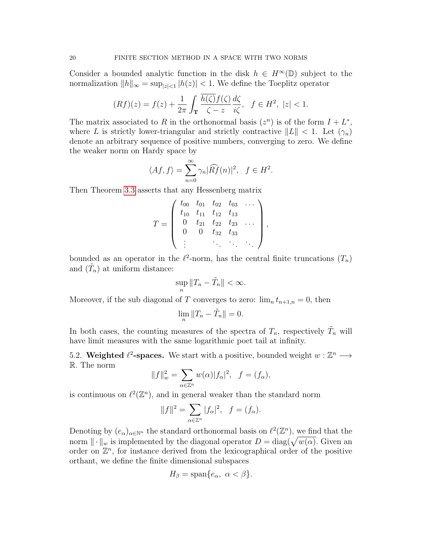Consider a bounded analytic function in the disk  $h \in H^{\infty}(\mathbb{D})$  subject to the normalization  $||h||_{\infty} = \sup_{|z| < 1} |h(z)| < 1$ . We define the Toeplitz operator

$$
(Rf)(z) = f(z) + \frac{1}{2\pi} \int_{\mathbf{T}} \frac{\overline{h(\zeta)}f(\zeta)}{\zeta - z} \frac{d\zeta}{i\zeta}, \quad f \in H^2, \ |z| < 1.
$$

The matrix associated to R in the orthonormal basis  $(z^n)$  is of the form  $I + L^*$ , where L is strictly lower-triangular and strictly contractive  $||L|| < 1$ . Let  $(\gamma_n)$ denote an arbitrary sequence of positive numbers, converging to zero. We define the weaker norm on Hardy space by

$$
\langle Af, f \rangle = \sum_{n=0}^{\infty} \gamma_n |\widehat{Rf}(n)|^2, \quad f \in H^2.
$$

Then Theorem [3.3](#page-7-1) asserts that any Hessenberg matrix

$$
T = \left(\begin{array}{cccc} t_{00} & t_{01} & t_{02} & t_{03} & \dots \\ t_{10} & t_{11} & t_{12} & t_{13} \\ 0 & t_{21} & t_{22} & t_{23} & \dots \\ 0 & 0 & t_{32} & t_{33} & \dots \\ \vdots & \vdots & \ddots & \ddots & \ddots \end{array}\right),
$$

bounded as an operator in the  $\ell^2$ -norm, has the central finite truncations  $(T_n)$ and  $(\tilde{T}_n)$  at uniform distance:

$$
\sup_n ||T_n - \tilde{T}_n|| < \infty.
$$

Moreover, if the sub diagonal of T converges to zero:  $\lim_{n \to \infty} t_{n+1,n} = 0$ , then

$$
\lim_{n} \|T_n - \tilde{T}_n\| = 0.
$$

In both cases, the counting measures of the spectra of  $T_n$ , respectively  $\tilde{T}_n$  will have limit measures with the same logarithmic poet tail at infinity.

5.2. Weighted  $\ell^2$ -spaces. We start with a positive, bounded weight  $w : \mathbb{Z}^n \longrightarrow$ R. The norm

$$
||f||_{w}^{2} = \sum_{\alpha \in \mathbb{Z}^{n}} w(\alpha) |f_{\alpha}|^{2}, \quad f = (f_{\alpha}),
$$

is continuous on  $\ell^2(\mathbb{Z}^n)$ , and in general weaker than the standard norm

$$
||f||^2 = \sum_{\alpha \in \mathbb{Z}^n} |f_{\alpha}|^2, \quad f = (f_{\alpha}).
$$

Denoting by  $(e_{\alpha})_{\alpha \in \mathbb{N}^n}$  the standard orthonormal basis on  $\ell^2(\mathbb{Z}^n)$ , we find that the norm  $\|\cdot\|_w$  is implemented by the diagonal operator  $D = \text{diag}(\sqrt{w(\alpha)})$ . Given an order on  $\mathbb{Z}^n$ , for instance derived from the lexicographical order of the positive orthant, we define the finite dimensional subspaces

$$
H_{\beta} = \text{span}\{e_{\alpha}, \ \alpha < \beta\}.
$$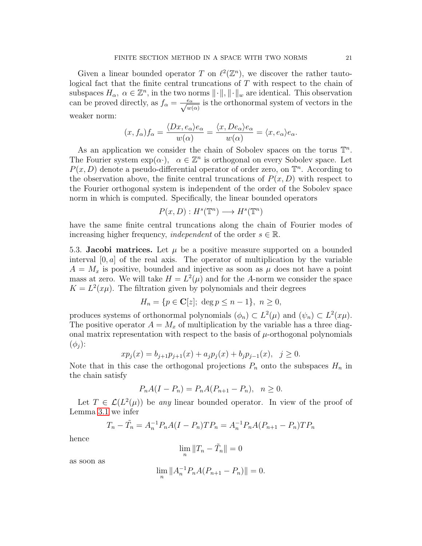Given a linear bounded operator T on  $\ell^2(\mathbb{Z}^n)$ , we discover the rather tautological fact that the finite central truncations of T with respect to the chain of subspaces  $H_{\alpha}$ ,  $\alpha \in \mathbb{Z}^n$ , in the two norms  $\|\cdot\|$ ,  $\|\cdot\|_w$  are identical. This observation can be proved directly, as  $f_{\alpha} = \frac{e_{\alpha}}{\sqrt{w(\alpha)}}$  is the orthonormal system of vectors in the weaker norm:

$$
(x, f_{\alpha})f_{\alpha} = \frac{\langle Dx, e_{\alpha} \rangle e_{\alpha}}{w(\alpha)} = \frac{\langle x, De_{\alpha} \rangle e_{\alpha}}{w(\alpha)} = \langle x, e_{\alpha} \rangle e_{\alpha}.
$$

As an application we consider the chain of Sobolev spaces on the torus  $\mathbb{T}^n$ . The Fourier system  $\exp(\alpha \cdot)$ ,  $\alpha \in \mathbb{Z}^n$  is orthogonal on every Sobolev space. Let  $P(x, D)$  denote a pseudo-differential operator of order zero, on  $\mathbb{T}^n$ . According to the observation above, the finite central truncations of  $P(x, D)$  with respect to the Fourier orthogonal system is independent of the order of the Sobolev space norm in which is computed. Specifically, the linear bounded operators

$$
P(x, D) : H^s(\mathbb{T}^n) \longrightarrow H^s(\mathbb{T}^n)
$$

have the same finite central truncations along the chain of Fourier modes of increasing higher frequency, *independent* of the order  $s \in \mathbb{R}$ .

5.3. Jacobi matrices. Let  $\mu$  be a positive measure supported on a bounded interval  $[0, a]$  of the real axis. The operator of multiplication by the variable  $A = M_x$  is positive, bounded and injective as soon as  $\mu$  does not have a point mass at zero. We will take  $H = L^2(\mu)$  and for the A-norm we consider the space  $K = L<sup>2</sup>(x\mu)$ . The filtration given by polynomials and their degrees

$$
H_n = \{ p \in \mathbf{C}[z]; \ \deg p \le n - 1 \}, \ n \ge 0,
$$

produces systems of orthonormal polynomials  $(\phi_n) \subset L^2(\mu)$  and  $(\psi_n) \subset L^2(x\mu)$ . The positive operator  $A = M_x$  of multiplication by the variable has a three diagonal matrix representation with respect to the basis of  $\mu$ -orthogonal polynomials  $(\phi_i)$ :

$$
xp_j(x) = b_{j+1}p_{j+1}(x) + a_jp_j(x) + b_jp_{j-1}(x), \ \ j \ge 0.
$$

Note that in this case the orthogonal projections  $P_n$  onto the subspaces  $H_n$  in the chain satisfy

$$
P_n A (I - P_n) = P_n A (P_{n+1} - P_n), \quad n \ge 0.
$$

Let  $T \in \mathcal{L}(L^2(\mu))$  be any linear bounded operator. In view of the proof of Lemma [3.1](#page-5-0) we infer

$$
T_n - \tilde{T}_n = A_n^{-1} P_n A (I - P_n) T P_n = A_n^{-1} P_n A (P_{n+1} - P_n) T P_n
$$

hence

$$
\lim_n \|T_n - \tilde T_n\| = 0
$$

as soon as

$$
\lim_{n} \|A_{n}^{-1}P_{n}A(P_{n+1} - P_{n})\| = 0.
$$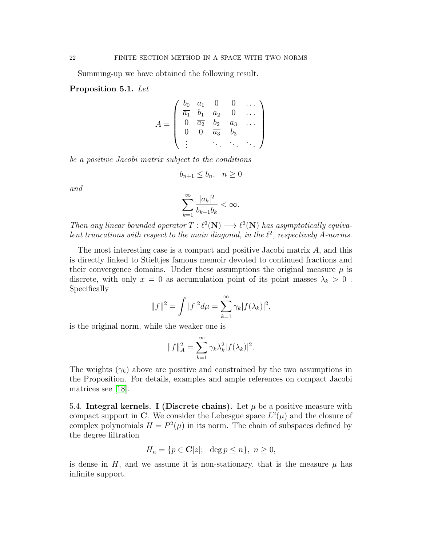Summing-up we have obtained the following result.

Proposition 5.1. Let

$$
A = \begin{pmatrix} b_0 & a_1 & 0 & 0 & \cdots \\ \overline{a_1} & b_1 & a_2 & 0 & \cdots \\ 0 & \overline{a_2} & b_2 & a_3 & \cdots \\ 0 & 0 & \overline{a_3} & b_3 & \cdots \\ \vdots & \vdots & \ddots & \ddots & \ddots \end{pmatrix}
$$

be a positive Jacobi matrix subject to the conditions

$$
b_{n+1} \le b_n, \quad n \ge 0
$$

and

$$
\sum_{k=1}^{\infty} \frac{|a_k|^2}{b_{k-1}b_k} < \infty.
$$

Then any linear bounded operator  $T : \ell^2(\mathbf{N}) \longrightarrow \ell^2(\mathbf{N})$  has asymptotically equivalent truncations with respect to the main diagonal, in the  $\ell^2$ , respectively A-norms.

The most interesting case is a compact and positive Jacobi matrix A, and this is directly linked to Stieltjes famous memoir devoted to continued fractions and their convergence domains. Under these assumptions the original measure  $\mu$  is discrete, with only  $x = 0$  as accumulation point of its point masses  $\lambda_k > 0$ . Specifically

$$
||f||^{2} = \int |f|^{2} d\mu = \sum_{k=1}^{\infty} \gamma_{k} |f(\lambda_{k})|^{2},
$$

is the original norm, while the weaker one is

$$
||f||_A^2 = \sum_{k=1}^{\infty} \gamma_k \lambda_k^2 |f(\lambda_k)|^2.
$$

The weights  $(\gamma_k)$  above are positive and constrained by the two assumptions in the Proposition. For details, examples and ample references on compact Jacobi matrices see [\[18\]](#page-31-10).

5.4. Integral kernels. I (Discrete chains). Let  $\mu$  be a positive measure with compact support in C. We consider the Lebesgue space  $L^2(\mu)$  and the closure of complex polynomials  $H = P^2(\mu)$  in its norm. The chain of subspaces defined by the degree filtration

$$
H_n = \{ p \in \mathbf{C}[z]; \ \deg p \le n \}, \ n \ge 0,
$$

is dense in H, and we assume it is non-stationary, that is the measure  $\mu$  has infinite support.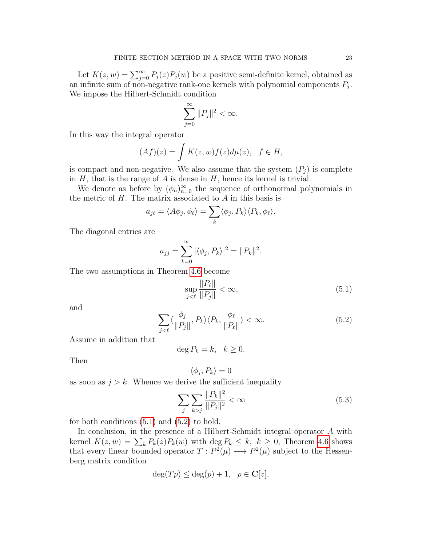Let  $K(z, w) = \sum_{j=0}^{\infty} P_j(z) \overline{P_j(w)}$  be a positive semi-definite kernel, obtained as an infinite sum of non-negative rank-one kernels with polynomial components  $P_j$ . We impose the Hilbert-Schmidt condition

$$
\sum_{j=0}^{\infty} \|P_j\|^2 < \infty.
$$

In this way the integral operator

$$
(Af)(z) = \int K(z, w) f(z) d\mu(z), \quad f \in H,
$$

is compact and non-negative. We also assume that the system  $(P_i)$  is complete in  $H$ , that is the range of  $A$  is dense in  $H$ , hence its kernel is trivial.

We denote as before by  $(\phi_n)_{n=0}^{\infty}$  the sequence of orthonormal polynomials in the metric of  $H$ . The matrix associated to  $A$  in this basis is

$$
a_{j\ell} = \langle A\phi_j, \phi_\ell \rangle = \sum_k \langle \phi_j, P_k \rangle \langle P_k, \phi_\ell \rangle.
$$

The diagonal entries are

$$
a_{jj} = \sum_{k=0}^{\infty} |\langle \phi_j, P_k \rangle|^2 = ||P_k||^2.
$$

The two assumptions in Theorem [4.6](#page-16-0) become

<span id="page-23-0"></span>
$$
\sup_{j<\ell} \frac{\|P_{\ell}\|}{\|P_j\|} < \infty,\tag{5.1}
$$

and

<span id="page-23-1"></span>
$$
\sum_{j<\ell} \langle \frac{\phi_j}{\|P_j\|}, P_k \rangle \langle P_k, \frac{\phi_\ell}{\|P_\ell\|} \rangle < \infty. \tag{5.2}
$$

Assume in addition that

$$
\deg P_k = k, \ \ k \ge 0.
$$

Then

$$
\langle \phi_j, P_k \rangle = 0
$$

as soon as  $j > k$ . Whence we derive the sufficient inequality

<span id="page-23-2"></span>
$$
\sum_{j} \sum_{k>j} \frac{\|P_k\|^2}{\|P_j\|^2} < \infty \tag{5.3}
$$

for both conditions  $(5.1)$  and  $(5.2)$  to hold.

In conclusion, in the presence of a Hilbert-Schmidt integral operator A with kernel  $K(z, w) = \sum_{k} P_k(z) P_k(w)$  with  $\deg P_k \leq k, k \geq 0$ , Theorem [4.6](#page-16-0) shows that every linear bounded operator  $T: P^2(\mu) \longrightarrow P^2(\mu)$  subject to the Hessenberg matrix condition

$$
\deg(Tp) \le \deg(p) + 1, \ \ p \in \mathbf{C}[z],
$$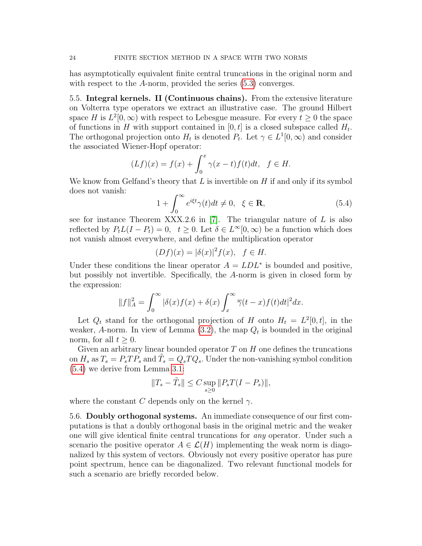has asymptotically equivalent finite central truncations in the original norm and with respect to the A-norm, provided the series  $(5.3)$  converges.

5.5. Integral kernels. II (Continuous chains). From the extensive literature on Volterra type operators we extract an illustrative case. The ground Hilbert space H is  $L^2[0,\infty)$  with respect to Lebesgue measure. For every  $t \geq 0$  the space of functions in H with support contained in  $[0, t]$  is a closed subspace called  $H_t$ . The orthogonal projection onto  $H_t$  is denoted  $P_t$ . Let  $\gamma \in L^1[0,\infty)$  and consider the associated Wiener-Hopf operator:

$$
(Lf)(x) = f(x) + \int_0^x \gamma(x - t) f(t) dt, \quad f \in H.
$$

We know from Gelfand's theory that  $L$  is invertible on  $H$  if and only if its symbol does not vanish:

<span id="page-24-0"></span>
$$
1 + \int_0^\infty e^{i\xi t} \gamma(t) dt \neq 0, \quad \xi \in \mathbf{R}, \tag{5.4}
$$

see for instance Theorem XXX.2.6 in [\[7\]](#page-30-6). The triangular nature of  $L$  is also reflected by  $P_t L(I - P_t) = 0$ ,  $t \geq 0$ . Let  $\delta \in L^{\infty}[0, \infty)$  be a function which does not vanish almost everywhere, and define the multiplication operator

$$
(Df)(x) = |\delta(x)|^2 f(x), \quad f \in H.
$$

Under these conditions the linear operator  $A = LDL^*$  is bounded and positive, but possibly not invertible. Specifically, the A-norm is given in closed form by the expression:

$$
||f||_A^2 = \int_0^\infty |\delta(x)f(x) + \delta(x) \int_x^\infty \overline{\gamma}(t-x)f(t)dt|^2 dx.
$$

Let  $Q_t$  stand for the orthogonal projection of H onto  $H_t = L^2[0, t]$ , in the weaker, A-norm. In view of Lemma  $(3.2)$ , the map  $Q_t$  is bounded in the original norm, for all  $t \geq 0$ .

Given an arbitrary linear bounded operator  $T$  on  $H$  one defines the truncations on  $H_s$  as  $T_s = P_s T P_s$  and  $\tilde{T}_s = Q_s T Q_s$ . Under the non-vanishing symbol condition [\(5.4\)](#page-24-0) we derive from Lemma [3.1:](#page-5-0)

$$
||T_s - \tilde{T}_s|| \leq C \sup_{s \geq 0} ||P_sT(I - P_s)||,
$$

where the constant C depends only on the kernel  $\gamma$ .

5.6. Doubly orthogonal systems. An immediate consequence of our first computations is that a doubly orthogonal basis in the original metric and the weaker one will give identical finite central truncations for any operator. Under such a scenario the positive operator  $A \in \mathcal{L}(H)$  implementing the weak norm is diagonalized by this system of vectors. Obviously not every positive operator has pure point spectrum, hence can be diagonalized. Two relevant functional models for such a scenario are briefly recorded below.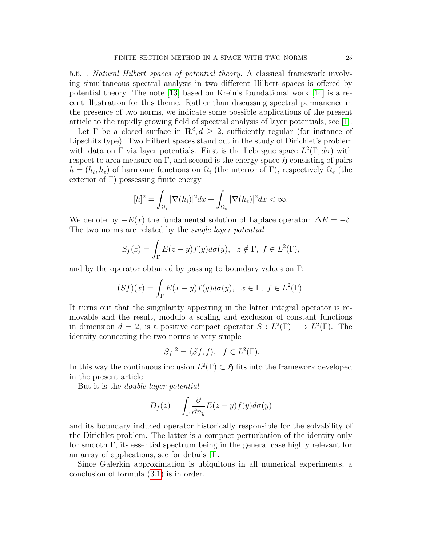5.6.1. Natural Hilbert spaces of potential theory. A classical framework involving simultaneous spectral analysis in two different Hilbert spaces is offered by potential theory. The note [\[13\]](#page-31-0) based on Krein's foundational work [\[14\]](#page-31-5) is a recent illustration for this theme. Rather than discussing spectral permanence in the presence of two norms, we indicate some possible applications of the present article to the rapidly growing field of spectral analysis of layer potentials, see [\[1\]](#page-30-0).

Let  $\Gamma$  be a closed surface in  $\mathbb{R}^d, d \geq 2$ , sufficiently regular (for instance of Lipschitz type). Two Hilbert spaces stand out in the study of Dirichlet's problem with data on  $\Gamma$  via layer potentials. First is the Lebesgue space  $L^2(\Gamma, d\sigma)$  with respect to area measure on Γ, and second is the energy space  $\mathfrak{H}$  consisting of pairs  $h = (h_i, h_e)$  of harmonic functions on  $\Omega_i$  (the interior of  $\Gamma$ ), respectively  $\Omega_e$  (the exterior of  $\Gamma$ ) possessing finite energy

$$
[h]^{2} = \int_{\Omega_{i}} |\nabla(h_{i})|^{2} dx + \int_{\Omega_{e}} |\nabla(h_{e})|^{2} dx < \infty.
$$

We denote by  $-E(x)$  the fundamental solution of Laplace operator:  $\Delta E = -\delta$ . The two norms are related by the single layer potential

$$
S_f(z) = \int_{\Gamma} E(z - y) f(y) d\sigma(y), \quad z \notin \Gamma, \ f \in L^2(\Gamma),
$$

and by the operator obtained by passing to boundary values on Γ:

$$
(Sf)(x) = \int_{\Gamma} E(x - y)f(y)d\sigma(y), \quad x \in \Gamma, \ f \in L^{2}(\Gamma).
$$

It turns out that the singularity appearing in the latter integral operator is removable and the result, modulo a scaling and exclusion of constant functions in dimension  $d = 2$ , is a positive compact operator  $S : L^2(\Gamma) \longrightarrow L^2(\Gamma)$ . The identity connecting the two norms is very simple

$$
[S_f]^2 = \langle Sf, f \rangle, \quad f \in L^2(\Gamma).
$$

In this way the continuous inclusion  $L^2(\Gamma) \subset \mathfrak{H}$  fits into the framework developed in the present article.

But it is the double layer potential

$$
D_f(z) = \int_{\Gamma} \frac{\partial}{\partial n_y} E(z - y) f(y) d\sigma(y)
$$

and its boundary induced operator historically responsible for the solvability of the Dirichlet problem. The latter is a compact perturbation of the identity only for smooth Γ, its essential spectrum being in the general case highly relevant for an array of applications, see for details [\[1\]](#page-30-0).

Since Galerkin approximation is ubiquitous in all numerical experiments, a conclusion of formula [\(3.1\)](#page-6-1) is in order.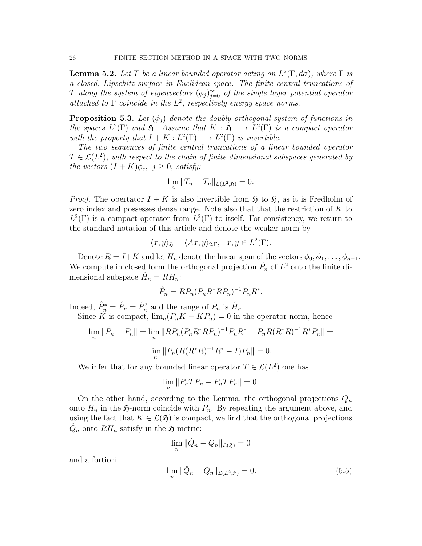**Lemma 5.2.** Let T be a linear bounded operator acting on  $L^2(\Gamma, d\sigma)$ , where  $\Gamma$  is a closed, Lipschitz surface in Euclidean space. The finite central truncations of T along the system of eigenvectors  $(\phi_j)_{j=0}^{\infty}$  of the single layer potential operator attached to  $\Gamma$  coincide in the  $L^2$ , respectively energy space norms.

<span id="page-26-1"></span>**Proposition 5.3.** Let  $(\phi_i)$  denote the doubly orthogonal system of functions in the spaces  $L^2(\Gamma)$  and  $\mathfrak{H}$ . Assume that  $K : \mathfrak{H} \longrightarrow L^2(\Gamma)$  is a compact operator with the property that  $I + K : L^2(\Gamma) \longrightarrow L^2(\Gamma)$  is invertible.

The two sequences of finite central truncations of a linear bounded operator  $T \in \mathcal{L}(L^2)$ , with respect to the chain of finite dimensional subspaces generated by the vectors  $(I + K)\phi_j$ ,  $j \geq 0$ , satisfy:

$$
\lim_{n} \|T_n - \tilde{T}_n\|_{\mathcal{L}(L^2, \mathfrak{H})} = 0.
$$

*Proof.* The opertator  $I + K$  is also invertible from  $\mathfrak{H}$  to  $\mathfrak{H}$ , as it is Fredholm of zero index and possesses dense range. Note also that that the restriction of K to  $L^2(\Gamma)$  is a compact operator from  $L^2(\Gamma)$  to itself. For consistency, we return to the standard notation of this article and denote the weaker norm by

$$
\langle x, y \rangle_{\mathfrak{H}} = \langle Ax, y \rangle_{2,\Gamma}, \quad x, y \in L^2(\Gamma).
$$

Denote  $R = I + K$  and let  $H_n$  denote the linear span of the vectors  $\phi_0, \phi_1, \ldots, \phi_{n-1}$ . We compute in closed form the orthogonal projection  $\hat{P}_n$  of  $L^2$  onto the finite dimensional subspace  $\hat{H}_n = RH_n$ :

$$
\hat{P}_n = R P_n (P_n R^* R P_n)^{-1} P_n R^*.
$$

Indeed,  $\hat{P}_n^* = \hat{P}_n = \hat{P}_n^2$  and the range of  $\hat{P}_n$  is  $\hat{H}_n$ . Since K is compact,  $\lim_{n}(P_nK - KP_n) = 0$  in the operator norm, hence

$$
\lim_{n} \|\hat{P}_n - P_n\| = \lim_{n} \|RP_n(P_n R^* R P_n)^{-1} P_n R^* - P_n R (R^* R)^{-1} R^* P_n\| =
$$
  

$$
\lim_{n} \|P_n (R (R^* R)^{-1} R^* - I) P_n\| = 0.
$$

We infer that for any bounded linear operator  $T \in \mathcal{L}(L^2)$  one has

$$
\lim_{n} \|P_n T P_n - \tilde{P}_n T \tilde{P}_n\| = 0.
$$

On the other hand, according to the Lemma, the orthogonal projections  $Q_n$ onto  $H_n$  in the  $\mathfrak{H}$ -norm coincide with  $P_n$ . By repeating the argument above, and using the fact that  $K \in \mathcal{L}(\mathfrak{H})$  is compact, we find that the orthogonal projections  $\hat{Q}_n$  onto  $RH_n$  satisfy in the  $\mathfrak H$  metric:

$$
\lim_{n} \|\hat{Q}_n - Q_n\|_{\mathcal{L}(\mathfrak{H})} = 0
$$

and a fortiori

<span id="page-26-0"></span>
$$
\lim_{n} \|\hat{Q}_n - Q_n\|_{\mathcal{L}(L^2, \mathfrak{H})} = 0.
$$
\n(5.5)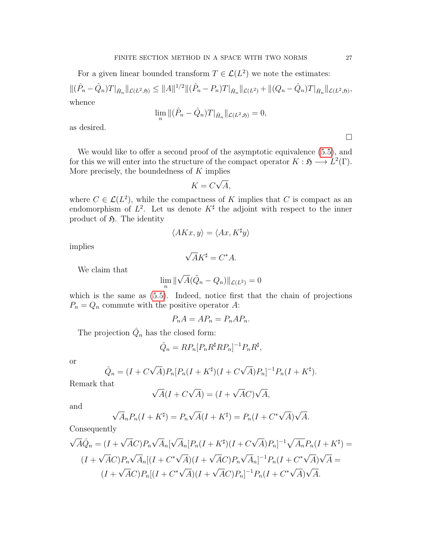For a given linear bounded transform  $T \in \mathcal{L}(L^2)$  we note the estimates:  $||(\hat{P}_n - \hat{Q}_n)T||_{\hat{H}_n}||_{\mathcal{L}(L^2, \mathfrak{H})} \leq ||A||^{1/2} ||(\hat{P}_n - P_n)T||_{\hat{H}_n}||_{\mathcal{L}(L^2)} + ||(Q_n - \hat{Q}_n)T||_{\hat{H}_n}||_{\mathcal{L}(L^2, \mathfrak{H})},$ whence

$$
\lim_{n} \| (\hat{P}_n - \hat{Q}_n) T |_{\hat{H}_n} \|_{\mathcal{L}(L^2, \mathfrak{H})} = 0,
$$

as desired.

We would like to offer a second proof of the asymptotic equivalence  $(5.5)$ , and for this we will enter into the structure of the compact operator  $K : \mathfrak{H} \longrightarrow L^2(\Gamma)$ . More precisely, the boundedness of  $K$  implies

$$
K = C\sqrt{A},
$$

where  $C \in \mathcal{L}(L^2)$ , while the compactness of K implies that C is compact as an endomorphism of  $L^2$ . Let us denote  $K^{\sharp}$  the adjoint with respect to the inner product of  $\mathfrak{H}$ . The identity

$$
\langle AKx,y\rangle = \langle Ax,K^{\sharp}y\rangle
$$

implies

$$
\sqrt{A}K^{\sharp} = C^*A.
$$

We claim that

$$
\lim_{n} \|\sqrt{A}(\tilde{Q}_n - Q_n)\|_{\mathcal{L}(L^2)} = 0
$$

which is the same as  $(5.5)$ . Indeed, notice first that the chain of projections  $P_n = Q_n$  commute with the positive operator A:

$$
P_n A = A P_n = P_n A P_n.
$$

The projection 
$$
\hat{Q}_n
$$
 has the closed form:

$$
\hat{Q}_n = R P_n [P_n R^{\sharp} R P_n]^{-1} P_n R^{\sharp},
$$

or

$$
\hat{Q}_n = (I + C\sqrt{A})P_n[P_n(I + K^{\sharp})(I + C\sqrt{A})P_n]^{-1}P_n(I + K^{\sharp}).
$$

Remark that

$$
\sqrt{A}(I + C\sqrt{A}) = (I + \sqrt{A}C)\sqrt{A},
$$

and

$$
\sqrt{A}_n P_n(I + K^{\sharp}) = P_n \sqrt{A}(I + K^{\sharp}) = P_n(I + C^* \sqrt{A}) \sqrt{A}.
$$

Consequently

$$
\sqrt{A}\hat{Q}_n = (I + \sqrt{A}C)P_n\sqrt{A}_n[\sqrt{A}_n[P_n(I + K^{\sharp})(I + C\sqrt{A})P_n]^{-1}\sqrt{A}_nP_n(I + K^{\sharp}) =
$$
  

$$
(I + \sqrt{A}C)P_n\sqrt{A}_n[(I + C^*\sqrt{A})(I + \sqrt{A}C)P_n\sqrt{A}_n]^{-1}P_n(I + C^*\sqrt{A})\sqrt{A} =
$$
  

$$
(I + \sqrt{A}C)P_n[(I + C^*\sqrt{A})(I + \sqrt{A}C)P_n]^{-1}P_n(I + C^*\sqrt{A})\sqrt{A}.
$$

 $\Box$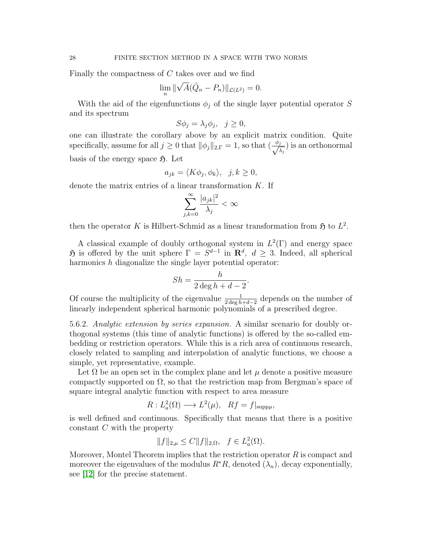Finally the compactness of C takes over and we find

$$
\lim_{n} \|\sqrt{A}(\hat{Q}_n - P_n)\|_{\mathcal{L}(L^2)} = 0.
$$

With the aid of the eigenfunctions  $\phi_j$  of the single layer potential operator S and its spectrum

$$
S\phi_j = \lambda_j \phi_j, \ \ j \ge 0,
$$

one can illustrate the corollary above by an explicit matrix condition. Quite specifically, assume for all  $j \geq 0$  that  $\|\phi_j\|_{2,\Gamma} = 1$ , so that  $\left(\frac{\phi_j}{\sqrt{N}}\right)$  $\frac{j}{\lambda_j}$ ) is an orthonormal basis of the energy space  $\mathfrak{H}$ . Let

$$
a_{jk} = \langle K\phi_j, \phi_k \rangle, \ \ j, k \ge 0,
$$

denote the matrix entries of a linear transformation  $K$ . If

$$
\sum_{j,k=0}^\infty \frac{|a_{jk}|^2}{\lambda_j} < \infty
$$

then the operator K is Hilbert-Schmid as a linear transformation from  $\mathfrak{H}$  to  $L^2$ .

A classical example of doubly orthogonal system in  $L^2(\Gamma)$  and energy space  $\mathfrak H$  is offered by the unit sphere  $\Gamma = S^{d-1}$  in  $\mathbb{R}^d$ ,  $d \geq 3$ . Indeed, all spherical harmonics  $h$  diagonalize the single layer potential operator:

$$
Sh = \frac{h}{2\deg h + d - 2}
$$

.

Of course the multiplicity of the eigenvalue  $\frac{1}{2 \deg h + d - 2}$  depends on the number of linearly independent spherical harmonic polynomials of a prescribed degree.

5.6.2. Analytic extension by series expansion. A similar scenario for doubly orthogonal systems (this time of analytic functions) is offered by the so-called embedding or restriction operators. While this is a rich area of continuous research, closely related to sampling and interpolation of analytic functions, we choose a simple, yet representative, example.

Let  $\Omega$  be an open set in the complex plane and let  $\mu$  denote a positive measure compactly supported on  $\Omega$ , so that the restriction map from Bergman's space of square integral analytic function with respect to area measure

$$
R: L_a^2(\Omega) \longrightarrow L^2(\mu), \quad Rf = f|_{\text{supp}\mu},
$$

is well defined and continuous. Specifically that means that there is a positive constant C with the property

$$
||f||_{2,\mu} \le C ||f||_{2,\Omega}, \quad f \in L^2_a(\Omega).
$$

Moreover, Montel Theorem implies that the restriction operator  $R$  is compact and moreover the eigenvalues of the modulus  $R^*R$ , denoted  $(\lambda_n)$ , decay exponentially, see [\[12\]](#page-31-11) for the precise statement.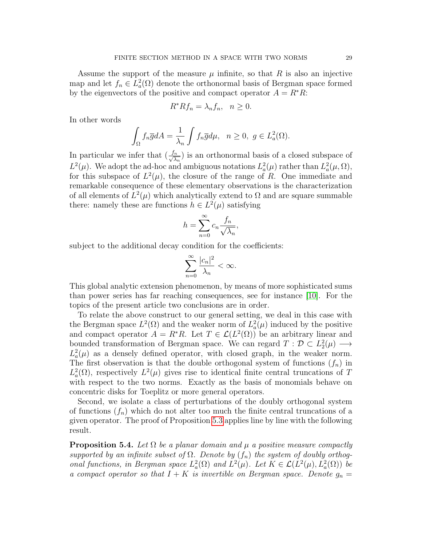Assume the support of the measure  $\mu$  infinite, so that R is also an injective map and let  $f_n \in L^2_a(\Omega)$  denote the orthonormal basis of Bergman space formed by the eigenvectors of the positive and compact operator  $A = R^*R$ :

$$
R^* R f_n = \lambda_n f_n, \quad n \ge 0.
$$

In other words

$$
\int_{\Omega} f_n \overline{g} dA = \frac{1}{\lambda_n} \int f_n \overline{g} d\mu, \quad n \ge 0, \ g \in L^2_a(\Omega).
$$

In particular we infer that  $\left(\frac{f_n}{\sqrt{\lambda}}\right)$  $\frac{n}{\lambda_n}$ ) is an orthonormal basis of a closed subspace of  $L^2(\mu)$ . We adopt the ad-hoc and ambiguous notations  $L^2_a(\mu)$  rather than  $L^2_a(\mu,\Omega)$ , for this subspace of  $L^2(\mu)$ , the closure of the range of R. One immediate and remarkable consequence of these elementary observations is the characterization of all elements of  $L^2(\mu)$  which analytically extend to  $\Omega$  and are square summable there: namely these are functions  $h \in L^2(\mu)$  satisfying

$$
h = \sum_{n=0}^{\infty} c_n \frac{f_n}{\sqrt{\lambda_n}},
$$

subject to the additional decay condition for the coefficients:

$$
\sum_{n=0}^{\infty} \frac{|c_n|^2}{\lambda_n} < \infty.
$$

This global analytic extension phenomenon, by means of more sophisticated sums than power series has far reaching consequences, see for instance [\[10\]](#page-31-8). For the topics of the present article two conclusions are in order.

To relate the above construct to our general setting, we deal in this case with the Bergman space  $L^2(\Omega)$  and the weaker norm of  $L^2(\mu)$  induced by the positive and compact operator  $A = R^*R$ . Let  $T \in \mathcal{L}(L^2(\Omega))$  be an arbitrary linear and bounded transformation of Bergman space. We can regard  $T: \mathcal{D} \subset L_2^2(\mu) \longrightarrow$  $L^2_a(\mu)$  as a densely defined operator, with closed graph, in the weaker norm. The first observation is that the double orthogonal system of functions  $(f_n)$  in  $L^2_a(\Omega)$ , respectively  $L^2(\mu)$  gives rise to identical finite central truncations of T with respect to the two norms. Exactly as the basis of monomials behave on concentric disks for Toeplitz or more general operators.

Second, we isolate a class of perturbations of the doubly orthogonal system of functions  $(f_n)$  which do not alter too much the finite central truncations of a given operator. The proof of Proposition [5.3](#page-26-1) applies line by line with the following result.

**Proposition 5.4.** Let  $\Omega$  be a planar domain and  $\mu$  a positive measure compactly supported by an infinite subset of  $\Omega$ . Denote by  $(f_n)$  the system of doubly orthogonal functions, in Bergman space  $L^2_a(\Omega)$  and  $L^2(\mu)$ . Let  $K \in \mathcal{L}(L^2(\mu), L^2_a(\Omega))$  be a compact operator so that  $I + K$  is invertible on Bergman space. Denote  $g_n =$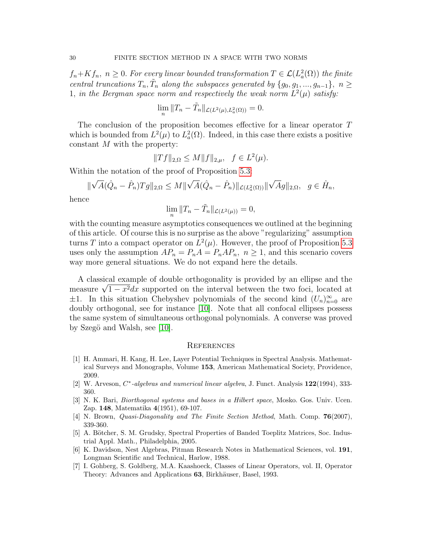$f_n+Kf_n$ ,  $n\geq 0$ . For every linear bounded transformation  $T\in\mathcal{L}(L^2_a(\Omega))$  the finite central truncations  $T_n, \tilde{T}_n$  along the subspaces generated by  $\{g_0, g_1, ..., g_{n-1}\}, n \geq$ 1, in the Bergman space norm and respectively the weak norm  $L^2(\mu)$  satisfy:

$$
\lim_{n} \|T_{n} - \tilde{T}_{n}\|_{\mathcal{L}(L^{2}(\mu), L^{2}_{a}(\Omega))} = 0.
$$

The conclusion of the proposition becomes effective for a linear operator T which is bounded from  $L^2(\mu)$  to  $L^2(\Omega)$ . Indeed, in this case there exists a positive constant M with the property:

$$
||Tf||_{2,\Omega} \le M||f||_{2,\mu}, \quad f \in L^2(\mu).
$$

Within the notation of the proof of Proposition [5.3:](#page-26-1)

$$
\|\sqrt{A}(\hat{Q}_n - \hat{P}_n)Tg\|_{2,\Omega} \le M\|\sqrt{A}(\hat{Q}_n - \hat{P}_n)\|_{\mathcal{L}(L^2_a(\Omega))}\|\sqrt{A}g\|_{2,\Omega}, \quad g \in \hat{H}_n,
$$

hence

$$
\lim_{n} \|T_n - \tilde{T}_n\|_{\mathcal{L}(L^2(\mu))} = 0,
$$

with the counting measure asymptotics consequences we outlined at the beginning of this article. Of course this is no surprise as the above "regularizing" assumption turns T into a compact operator on  $L^2(\mu)$ . However, the proof of Proposition [5.3](#page-26-1) uses only the assumption  $AP_n = P_nA = P_nAP_n$ ,  $n \ge 1$ , and this scenario covers way more general situations. We do not expand here the details.

A classical example of double orthogonality is provided by an ellipse and the A classical example of double orthogonality is provided by an ellipse and the measure  $\sqrt{1-x^2}dx$  supported on the interval between the two foci, located at  $\pm 1$ . In this situation Chebyshev polynomials of the second kind  $(U_n)_{n=0}^{\infty}$  are doubly orthogonal, see for instance [\[10\]](#page-31-8). Note that all confocal ellipses possess the same system of simultaneous orthogonal polynomials. A converse was proved by Szegö and Walsh, see  $|10|$ .

#### **REFERENCES**

- <span id="page-30-0"></span>[1] H. Ammari, H. Kang, H. Lee, Layer Potential Techniques in Spectral Analysis. Mathematical Surveys and Monographs, Volume 153, American Mathematical Society, Providence, 2009.
- <span id="page-30-2"></span>[2] W. Arveson,  $C^*$ -algebras and numerical linear algebra, J. Funct. Analysis  $122(1994)$ , 333-360.
- <span id="page-30-5"></span>[3] N. K. Bari, Biorthogonal systems and bases in a Hilbert space, Mosko. Gos. Univ. Ucen. Zap. 148, Matematika 4(1951), 69-107.
- <span id="page-30-3"></span>[4] N. Brown, *Quasi-Diagonality and The Finite Section Method*, Math. Comp. **76**(2007), 339-360.
- <span id="page-30-1"></span>[5] A. Bötcher, S. M. Grudsky, Spectral Properties of Banded Toeplitz Matrices, Soc. Industrial Appl. Math., Philadelphia, 2005.
- <span id="page-30-4"></span>[6] K. Davidson, Nest Algebras, Pitman Research Notes in Mathematical Sciences, vol. 191, Longman Scientific and Technical, Harlow, 1988.
- <span id="page-30-6"></span>[7] I. Gohberg, S. Goldberg, M.A. Kaashoeck, Classes of Linear Operators, vol. II, Operator Theory: Advances and Applications 63, Birkhäuser, Basel, 1993.